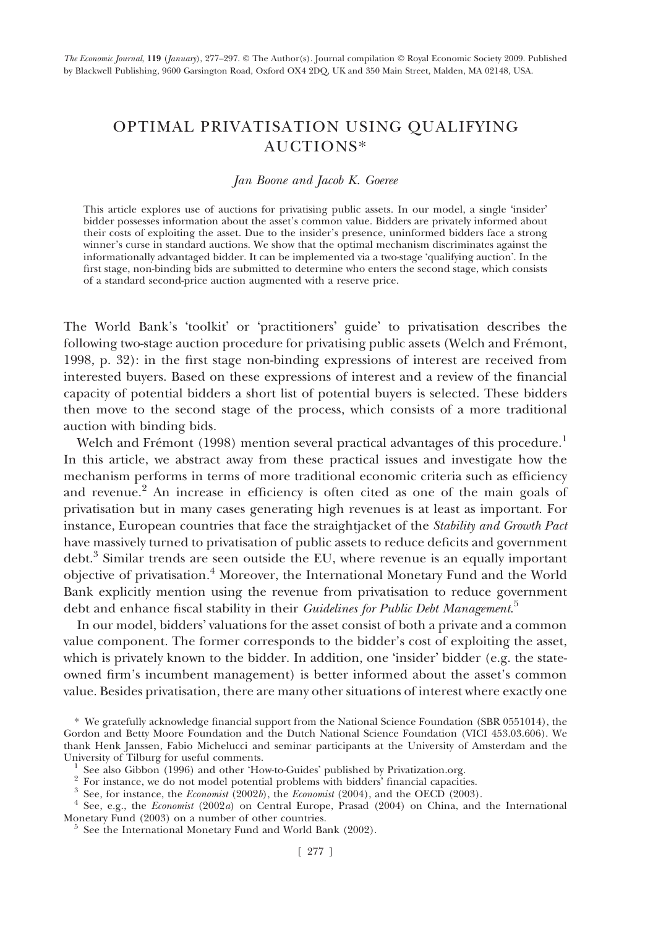# OPTIMAL PRIVATISATION USING QUALIFYING AUCTIONS\*

#### Jan Boone and Jacob K. Goeree

This article explores use of auctions for privatising public assets. In our model, a single 'insider' bidder possesses information about the asset's common value. Bidders are privately informed about their costs of exploiting the asset. Due to the insider's presence, uninformed bidders face a strong winner's curse in standard auctions. We show that the optimal mechanism discriminates against the informationally advantaged bidder. It can be implemented via a two-stage 'qualifying auction'. In the first stage, non-binding bids are submitted to determine who enters the second stage, which consists of a standard second-price auction augmented with a reserve price.

The World Bank's 'toolkit' or 'practitioners' guide' to privatisation describes the following two-stage auction procedure for privatising public assets (Welch and Frémont, 1998, p. 32): in the first stage non-binding expressions of interest are received from interested buyers. Based on these expressions of interest and a review of the financial capacity of potential bidders a short list of potential buyers is selected. These bidders then move to the second stage of the process, which consists of a more traditional auction with binding bids.

Welch and Frémont (1998) mention several practical advantages of this procedure.<sup>1</sup> In this article, we abstract away from these practical issues and investigate how the mechanism performs in terms of more traditional economic criteria such as efficiency and revenue.<sup>2</sup> An increase in efficiency is often cited as one of the main goals of privatisation but in many cases generating high revenues is at least as important. For instance, European countries that face the straightjacket of the Stability and Growth Pact have massively turned to privatisation of public assets to reduce deficits and government debt. $3$  Similar trends are seen outside the EU, where revenue is an equally important objective of privatisation.4 Moreover, the International Monetary Fund and the World Bank explicitly mention using the revenue from privatisation to reduce government debt and enhance fiscal stability in their Guidelines for Public Debt Management.<sup>5</sup>

In our model, bidders' valuations for the asset consist of both a private and a common value component. The former corresponds to the bidder's cost of exploiting the asset, which is privately known to the bidder. In addition, one 'insider' bidder (e.g. the stateowned firm's incumbent management) is better informed about the asset's common value. Besides privatisation, there are many other situations of interest where exactly one

<sup>\*</sup> We gratefully acknowledge financial support from the National Science Foundation (SBR 0551014), the Gordon and Betty Moore Foundation and the Dutch National Science Foundation (VICI 453.03.606). We thank Henk Janssen, Fabio Michelucci and seminar participants at the University of Amsterdam and the

 $^1$  See also Gibbon (1996) and other 'How-to-Guides' published by Privatization.org.  $^2$  For instance, we do not model potential problems with bidders' financial capacities.

<sup>&</sup>lt;sup>3</sup> See, for instance, the *Economist* (2002*b*), the *Economist* (2004), and the OECD (2003).<br><sup>4</sup> See, e.g., the *Economist* (2002*a*) on Central Europe, Prasad (2004) on China, and the International Monetary Fund (2003)

 $5$  See the International Monetary Fund and World Bank (2002).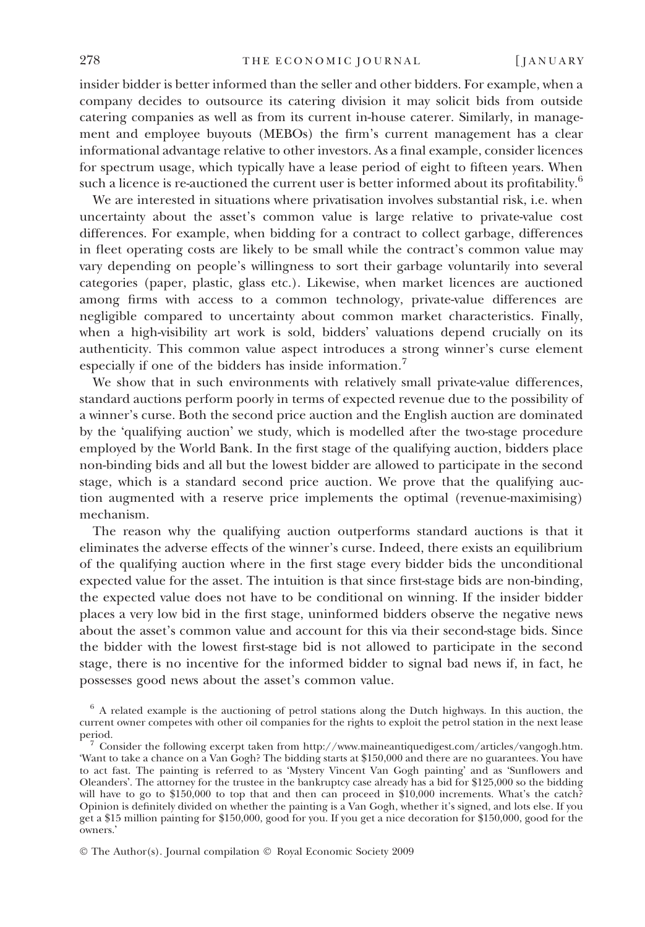insider bidder is better informed than the seller and other bidders. For example, when a company decides to outsource its catering division it may solicit bids from outside catering companies as well as from its current in-house caterer. Similarly, in management and employee buyouts (MEBOs) the firm's current management has a clear informational advantage relative to other investors. As a final example, consider licences for spectrum usage, which typically have a lease period of eight to fifteen years. When such a licence is re-auctioned the current user is better informed about its profitability.<sup>6</sup>

We are interested in situations where privatisation involves substantial risk, i.e. when uncertainty about the asset's common value is large relative to private-value cost differences. For example, when bidding for a contract to collect garbage, differences in fleet operating costs are likely to be small while the contract's common value may vary depending on people's willingness to sort their garbage voluntarily into several categories (paper, plastic, glass etc.). Likewise, when market licences are auctioned among firms with access to a common technology, private-value differences are negligible compared to uncertainty about common market characteristics. Finally, when a high-visibility art work is sold, bidders' valuations depend crucially on its authenticity. This common value aspect introduces a strong winner's curse element especially if one of the bidders has inside information.<sup>7</sup>

We show that in such environments with relatively small private-value differences, standard auctions perform poorly in terms of expected revenue due to the possibility of a winner's curse. Both the second price auction and the English auction are dominated by the 'qualifying auction' we study, which is modelled after the two-stage procedure employed by the World Bank. In the first stage of the qualifying auction, bidders place non-binding bids and all but the lowest bidder are allowed to participate in the second stage, which is a standard second price auction. We prove that the qualifying auction augmented with a reserve price implements the optimal (revenue-maximising) mechanism.

The reason why the qualifying auction outperforms standard auctions is that it eliminates the adverse effects of the winner's curse. Indeed, there exists an equilibrium of the qualifying auction where in the first stage every bidder bids the unconditional expected value for the asset. The intuition is that since first-stage bids are non-binding, the expected value does not have to be conditional on winning. If the insider bidder places a very low bid in the first stage, uninformed bidders observe the negative news about the asset's common value and account for this via their second-stage bids. Since the bidder with the lowest first-stage bid is not allowed to participate in the second stage, there is no incentive for the informed bidder to signal bad news if, in fact, he possesses good news about the asset's common value.

 $6$  A related example is the auctioning of petrol stations along the Dutch highways. In this auction, the current owner competes with other oil companies for the rights to exploit the petrol station in the next lease period. <sup>7</sup> Consider the following excerpt taken from http://www.maineantiquedigest.com/articles/vangogh.htm.

<sup>-</sup>Want to take a chance on a Van Gogh? The bidding starts at \$150,000 and there are no guarantees. You have to act fast. The painting is referred to as 'Mystery Vincent Van Gogh painting' and as 'Sunflowers and Oleanders. The attorney for the trustee in the bankruptcy case already has a bid for \$125,000 so the bidding will have to go to \$150,000 to top that and then can proceed in \$10,000 increments. What's the catch? Opinion is definitely divided on whether the painting is a Van Gogh, whether it's signed, and lots else. If you get a \$15 million painting for \$150,000, good for you. If you get a nice decoration for \$150,000, good for the owners.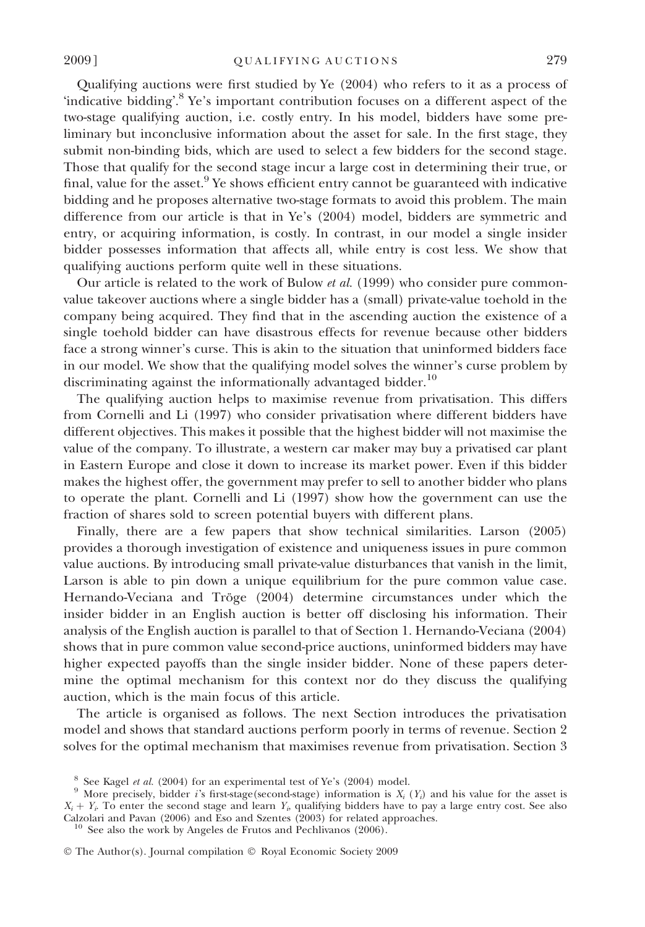Qualifying auctions were first studied by Ye (2004) who refers to it as a process of 'indicative bidding'.<sup>8</sup> Ye's important contribution focuses on a different aspect of the two-stage qualifying auction, i.e. costly entry. In his model, bidders have some preliminary but inconclusive information about the asset for sale. In the first stage, they submit non-binding bids, which are used to select a few bidders for the second stage. Those that qualify for the second stage incur a large cost in determining their true, or final, value for the asset. $9$  Ye shows efficient entry cannot be guaranteed with indicative bidding and he proposes alternative two-stage formats to avoid this problem. The main difference from our article is that in Ye's (2004) model, bidders are symmetric and entry, or acquiring information, is costly. In contrast, in our model a single insider bidder possesses information that affects all, while entry is cost less. We show that qualifying auctions perform quite well in these situations.

Our article is related to the work of Bulow et al. (1999) who consider pure commonvalue takeover auctions where a single bidder has a (small) private-value toehold in the company being acquired. They find that in the ascending auction the existence of a single toehold bidder can have disastrous effects for revenue because other bidders face a strong winner's curse. This is akin to the situation that uninformed bidders face in our model. We show that the qualifying model solves the winner's curse problem by discriminating against the informationally advantaged bidder.<sup>10</sup>

The qualifying auction helps to maximise revenue from privatisation. This differs from Cornelli and Li (1997) who consider privatisation where different bidders have different objectives. This makes it possible that the highest bidder will not maximise the value of the company. To illustrate, a western car maker may buy a privatised car plant in Eastern Europe and close it down to increase its market power. Even if this bidder makes the highest offer, the government may prefer to sell to another bidder who plans to operate the plant. Cornelli and Li (1997) show how the government can use the fraction of shares sold to screen potential buyers with different plans.

Finally, there are a few papers that show technical similarities. Larson (2005) provides a thorough investigation of existence and uniqueness issues in pure common value auctions. By introducing small private-value disturbances that vanish in the limit, Larson is able to pin down a unique equilibrium for the pure common value case. Hernando-Veciana and Tröge (2004) determine circumstances under which the insider bidder in an English auction is better off disclosing his information. Their analysis of the English auction is parallel to that of Section 1. Hernando-Veciana (2004) shows that in pure common value second-price auctions, uninformed bidders may have higher expected payoffs than the single insider bidder. None of these papers determine the optimal mechanism for this context nor do they discuss the qualifying auction, which is the main focus of this article.

The article is organised as follows. The next Section introduces the privatisation model and shows that standard auctions perform poorly in terms of revenue. Section 2 solves for the optimal mechanism that maximises revenue from privatisation. Section 3

 $10$  See also the work by Angeles de Frutos and Pechlivanos (2006).

<sup>&</sup>lt;sup>8</sup> See Kagel *et al.* (2004) for an experimental test of Ye's (2004) model. <sup>9</sup> More precisely, bidder *i*'s first-stage(second-stage) information is  $X_i$  ( $Y_i$ ) and his value for the asset is  $X_i + Y_i$ . To enter the second stage and learn  $Y_i$ , qualifying bidders have to pay a large entry cost. See also Calzolari and Pavan (2006) and Eso and Szentes (2003) for related approaches.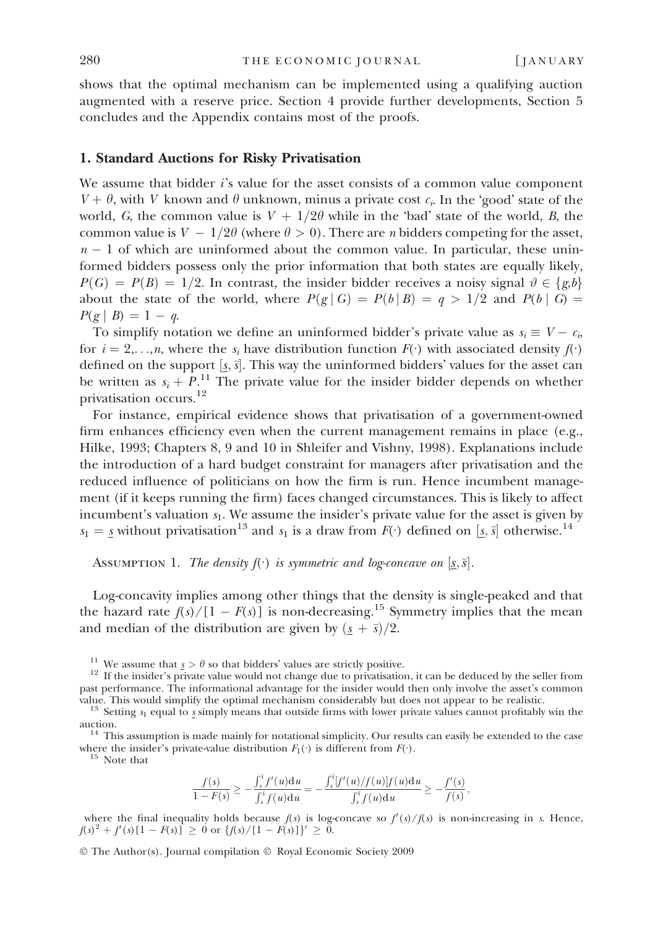shows that the optimal mechanism can be implemented using a qualifying auction augmented with a reserve price. Section 4 provide further developments, Section 5 concludes and the Appendix contains most of the proofs.

# 1. Standard Auctions for Risky Privatisation

We assume that bidder  $i$ 's value for the asset consists of a common value component  $V + \theta$ , with V known and  $\theta$  unknown, minus a private cost  $c_i$ . In the 'good' state of the world, G, the common value is  $V + 1/2\theta$  while in the 'bad' state of the world, B, the common value is  $V - 1/2\theta$  (where  $\theta > 0$ ). There are *n* bidders competing for the asset,  $n-1$  of which are uninformed about the common value. In particular, these uninformed bidders possess only the prior information that both states are equally likely,  $P(G) = P(B) = 1/2$ . In contrast, the insider bidder receives a noisy signal  $\vartheta \in \{g, b\}$ about the state of the world, where  $P(g \mid G) = P(b \mid B) = q > 1/2$  and  $P(b \mid G) =$  $P(g | B) = 1 - q.$ 

To simplify notation we define an uninformed bidder's private value as  $s_i \equiv V - c_i$ , for  $i = 2,...,n$ , where the  $s_i$  have distribution function  $F(\cdot)$  with associated density  $f(\cdot)$ defined on the support  $[\underline{s}, \overline{s}]$ . This way the uninformed bidders' values for the asset can be written as  $s_i + P_i^{11}$ . The private value for the insider bidder depends on whether privatisation occurs.<sup>12</sup>

For instance, empirical evidence shows that privatisation of a government-owned firm enhances efficiency even when the current management remains in place (e.g., Hilke, 1993; Chapters 8, 9 and 10 in Shleifer and Vishny, 1998). Explanations include the introduction of a hard budget constraint for managers after privatisation and the reduced influence of politicians on how the firm is run. Hence incumbent management (if it keeps running the firm) faces changed circumstances. This is likely to affect incumbent's valuation  $s<sub>1</sub>$ . We assume the insider's private value for the asset is given by  $s_1 = s$  without privatisation<sup>13</sup> and  $s_1$  is a draw from  $F(\cdot)$  defined on  $[s, \bar{s}]$  otherwise.<sup>14</sup>

Assumption 1. The density  $f(\cdot)$  is symmetric and log-concave on  $[\underline{s}, \overline{s}]$ .

Log-concavity implies among other things that the density is single-peaked and that the hazard rate  $f(s) / [1 - F(s)]$  is non-decreasing.<sup>15</sup> Symmetry implies that the mean and median of the distribution are given by  $(\underline{s} + \bar{s})/2$ .

<sup>11</sup> We assume that  $s > \theta$  so that bidders' values are strictly positive.<br><sup>12</sup> If the insider's private value would not change due to privatisation, it can be deduced by the seller from past performance. The informational advantage for the insider would then only involve the asset's common value. This would simplify the optimal mechanism considerably but does not appear to be realistic.

auction. <sup>14</sup> This assumption is made mainly for notational simplicity. Our results can easily be extended to the case where the insider's private-value distribution  $F_1(\cdot)$  is different from  $F(\cdot)$ .<br><sup>15</sup> Note that

$$
\frac{f(s)}{1-F(s)} \geq -\frac{\int_s^{\bar{s}} f'(u) \mathrm{d}u}{\int_s^{\bar{s}} f(u) \mathrm{d}u} = -\frac{\int_s^{\bar{s}} [f'(u)/f(u)] f(u) \mathrm{d}u}{\int_s^{\bar{s}} f(u) \mathrm{d}u} \geq -\frac{f'(s)}{f(s)},
$$

where the final inequality holds because  $f(s)$  is log-concave so  $f'(s)/f(s)$  is non-increasing in s. Hence,  $f(s)^2 + f'(s)[1 - F(s)] \ge 0$  or  $\{f(s) / [1 - F(s)]\}' \ge 0$ .

<sup>&</sup>lt;sup>13</sup> Setting  $s_1$  equal to s simply means that outside firms with lower private values cannot profitably win the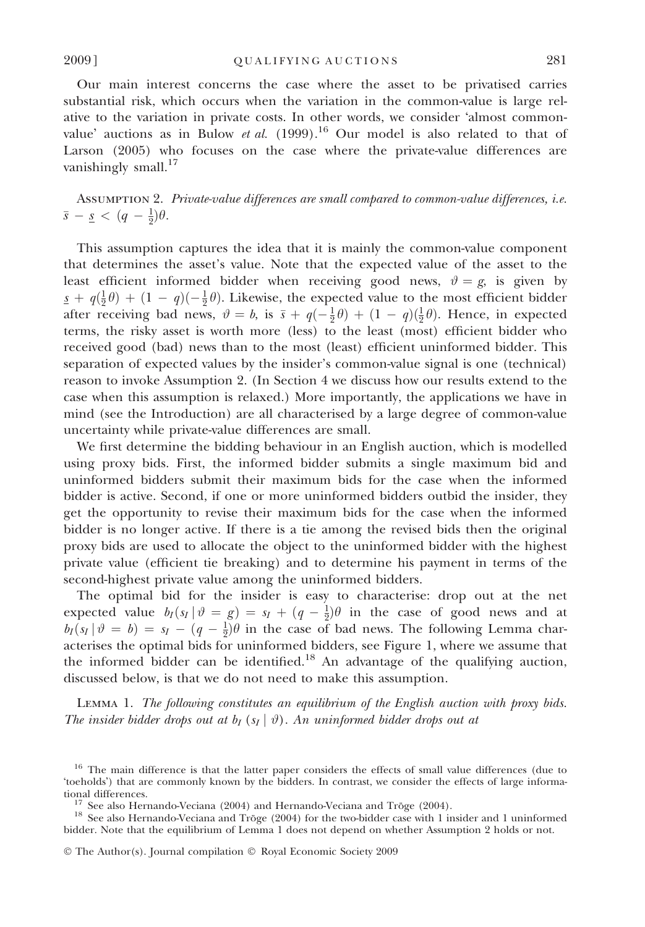Our main interest concerns the case where the asset to be privatised carries substantial risk, which occurs when the variation in the common-value is large relative to the variation in private costs. In other words, we consider 'almost commonvalue' auctions as in Bulow et al.  $(1999).$ <sup>16</sup> Our model is also related to that of Larson (2005) who focuses on the case where the private-value differences are vanishingly small.<sup>17</sup>

ASSUMPTION 2. Private-value differences are small compared to common-value differences, i.e.  $\bar{s} - \underline{s} < (q - \frac{1}{2})\theta.$ 

This assumption captures the idea that it is mainly the common-value component that determines the asset's value. Note that the expected value of the asset to the least efficient informed bidder when receiving good news,  $\vartheta = g$ , is given by  $\underline{s} + q(\frac{1}{2}\theta) + (1 - q)(-\frac{1}{2}\theta)$ . Likewise, the expected value to the most efficient bidder after receiving bad news,  $\theta = b$ , is  $\bar{s} + q(-\frac{1}{2}\theta) + (1 - q)(\frac{1}{2}\theta)$ . Hence, in expected terms, the risky asset is worth more (less) to the least (most) efficient bidder who received good (bad) news than to the most (least) efficient uninformed bidder. This separation of expected values by the insider's common-value signal is one (technical) reason to invoke Assumption 2. (In Section 4 we discuss how our results extend to the case when this assumption is relaxed.) More importantly, the applications we have in mind (see the Introduction) are all characterised by a large degree of common-value uncertainty while private-value differences are small.

We first determine the bidding behaviour in an English auction, which is modelled using proxy bids. First, the informed bidder submits a single maximum bid and uninformed bidders submit their maximum bids for the case when the informed bidder is active. Second, if one or more uninformed bidders outbid the insider, they get the opportunity to revise their maximum bids for the case when the informed bidder is no longer active. If there is a tie among the revised bids then the original proxy bids are used to allocate the object to the uninformed bidder with the highest private value (efficient tie breaking) and to determine his payment in terms of the second-highest private value among the uninformed bidders.

The optimal bid for the insider is easy to characterise: drop out at the net expected value  $b_I(s_I | \vartheta = g) = s_I + (q - \frac{1}{2})\theta$  in the case of good news and at  $b_I(s_I | \vartheta = b) = s_I - (q - \frac{1}{2})\theta$  in the case of bad news. The following Lemma characterises the optimal bids for uninformed bidders, see Figure 1, where we assume that the informed bidder can be identified.<sup>18</sup> An advantage of the qualifying auction, discussed below, is that we do not need to make this assumption.

Lemma 1. The following constitutes an equilibrium of the English auction with proxy bids. The insider bidder drops out at  $b_I$  ( $s_I | \vartheta$ ). An uninformed bidder drops out at

<sup>&</sup>lt;sup>16</sup> The main difference is that the latter paper considers the effects of small value differences (due to 'toeholds') that are commonly known by the bidders. In contrast, we consider the effects of large informational differences.<br><sup>17</sup> See also Hernando-Veciana (2004) and Hernando-Veciana and Tröge (2004).<br><sup>18</sup> See also Hernando-Veciana and Tröge (2004) for the two-bidder case with 1 insider and 1 uninformed

bidder. Note that the equilibrium of Lemma 1 does not depend on whether Assumption 2 holds or not.

<sup>©</sup> The Author(s). Journal compilation © Royal Economic Society 2009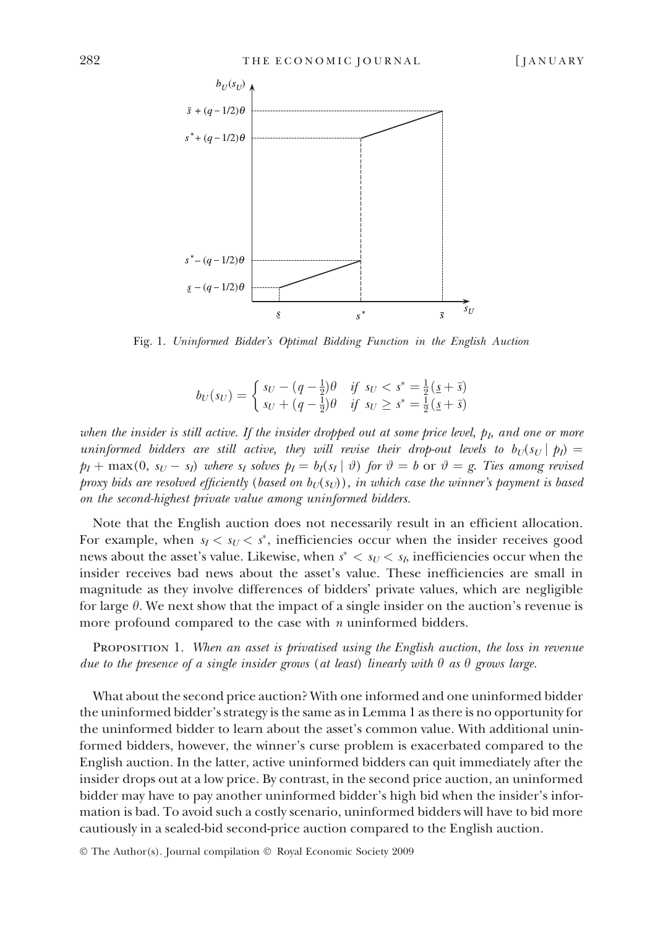

Fig. 1. Uninformed Bidder's Optimal Bidding Function in the English Auction

$$
b_U(s_U) = \begin{cases} s_U - (q - \frac{1}{2})\theta & \text{if } s_U < s^* = \frac{1}{2}(\underline{s} + \overline{s}) \\ s_U + (q - \frac{1}{2})\theta & \text{if } s_U \geq s^* = \frac{1}{2}(\underline{s} + \overline{s}) \end{cases}
$$

when the insider is still active. If the insider dropped out at some price level,  $p<sub>L</sub>$ , and one or more uninformed bidders are still active, they will revise their drop-out levels to  $b_U(s_U | p_I) =$  $p_I + \max(0, s_U - s_I)$  where  $s_I$  solves  $p_I = b_I(s_I | \vartheta)$  for  $\vartheta = b$  or  $\vartheta = g$ . Ties among revised proxy bids are resolved efficiently (based on  $b_U(s_U)$ ), in which case the winner's payment is based on the second-highest private value among uninformed bidders.

Note that the English auction does not necessarily result in an efficient allocation. For example, when  $s_I < s_U < s^*$ , inefficiencies occur when the insider receives good news about the asset's value. Likewise, when  $s^* < s_U < s_L$  inefficiencies occur when the insider receives bad news about the asset's value. These inefficiencies are small in magnitude as they involve differences of bidders' private values, which are negligible for large  $\theta$ . We next show that the impact of a single insider on the auction's revenue is more profound compared to the case with  $n$  uninformed bidders.

PROPOSITION 1. When an asset is privatised using the English auction, the loss in revenue due to the presence of a single insider grows (at least) linearly with  $\theta$  as  $\theta$  grows large.

What about the second price auction? With one informed and one uninformed bidder the uninformed bidder's strategy is the same as in Lemma 1 as there is no opportunity for the uninformed bidder to learn about the asset's common value. With additional uninformed bidders, however, the winner's curse problem is exacerbated compared to the English auction. In the latter, active uninformed bidders can quit immediately after the insider drops out at a low price. By contrast, in the second price auction, an uninformed bidder may have to pay another uninformed bidder's high bid when the insider's information is bad. To avoid such a costly scenario, uninformed bidders will have to bid more cautiously in a sealed-bid second-price auction compared to the English auction.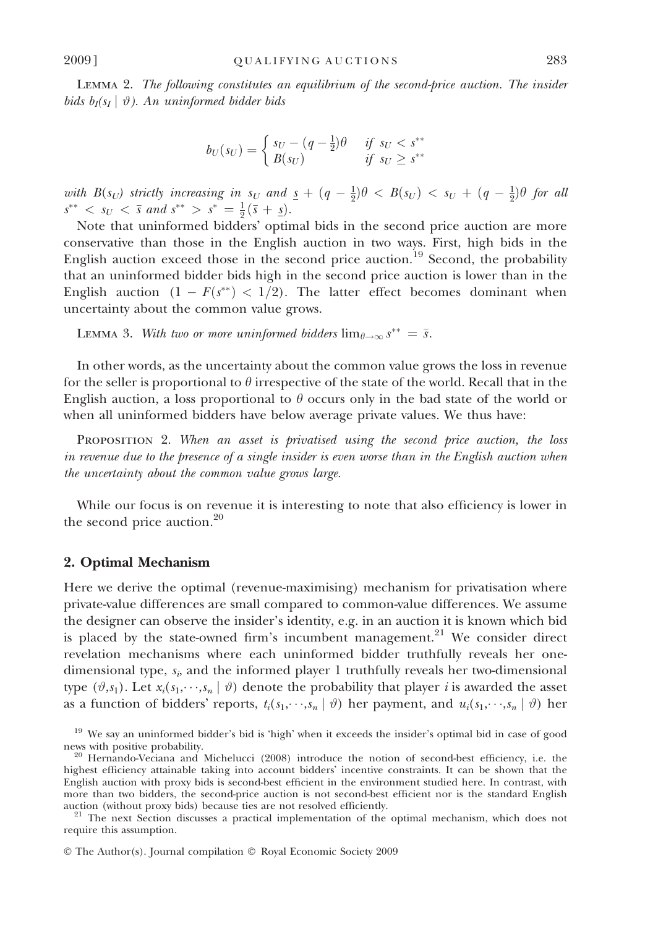Lemma 2. The following constitutes an equilibrium of the second-price auction. The insider bids  $b_I(s_I \mid \vartheta)$ . An uninformed bidder bids

$$
b_U(s_U) = \begin{cases} s_U - (q - \frac{1}{2})\theta & \text{if } s_U < s^{**} \\ B(s_U) & \text{if } s_U \ge s^{**} \end{cases}
$$

with  $B(s_U)$  strictly increasing in  $s_U$  and  $\underline{s} + (q - \frac{1}{2})\theta < B(s_U) < s_U + (q - \frac{1}{2})\theta$  for all  $s^{**} < s_U < \bar{s} \text{ and } s^{**} > s^* = \frac{1}{2}(\bar{s} + \underline{s}).$ 

Note that uninformed bidders' optimal bids in the second price auction are more conservative than those in the English auction in two ways. First, high bids in the English auction exceed those in the second price auction.<sup>19</sup> Second, the probability that an uninformed bidder bids high in the second price auction is lower than in the English auction  $(1 - F(s^{**}) < 1/2)$ . The latter effect becomes dominant when uncertainty about the common value grows.

LEMMA 3. With two or more uninformed bidders  $\lim_{\theta \to \infty} s^{**} = \overline{s}$ .

In other words, as the uncertainty about the common value grows the loss in revenue for the seller is proportional to  $\theta$  irrespective of the state of the world. Recall that in the English auction, a loss proportional to  $\theta$  occurs only in the bad state of the world or when all uninformed bidders have below average private values. We thus have:

PROPOSITION 2. When an asset is privatised using the second price auction, the loss in revenue due to the presence of a single insider is even worse than in the English auction when the uncertainty about the common value grows large.

While our focus is on revenue it is interesting to note that also efficiency is lower in the second price auction.<sup>20</sup>

## 2. Optimal Mechanism

Here we derive the optimal (revenue-maximising) mechanism for privatisation where private-value differences are small compared to common-value differences. We assume the designer can observe the insider's identity, e.g. in an auction it is known which bid is placed by the state-owned firm's incumbent management.<sup>21</sup> We consider direct revelation mechanisms where each uninformed bidder truthfully reveals her onedimensional type,  $s_i$ , and the informed player 1 truthfully reveals her two-dimensional type  $(\vartheta, s_1)$ . Let  $x_i(s_1,\dots, s_n \mid \vartheta)$  denote the probability that player i is awarded the asset as a function of bidders' reports,  $t_i(s_1,\dots,s_n | \vartheta)$  her payment, and  $u_i(s_1,\dots,s_n | \vartheta)$  her

<sup>&</sup>lt;sup>19</sup> We say an uninformed bidder's bid is 'high' when it exceeds the insider's optimal bid in case of good news with positive probability.<br><sup>20</sup> Hernando-Veciana and Michelucci (2008) introduce the notion of second-best efficiency, i.e. the

highest efficiency attainable taking into account bidders' incentive constraints. It can be shown that the English auction with proxy bids is second-best efficient in the environment studied here. In contrast, with more than two bidders, the second-price auction is not second-best efficient nor is the standard English auction (without proxy bids) because ties are not resolved efficiently.

<sup>&</sup>lt;sup>21</sup> The next Section discusses a practical implementation of the optimal mechanism, which does not require this assumption.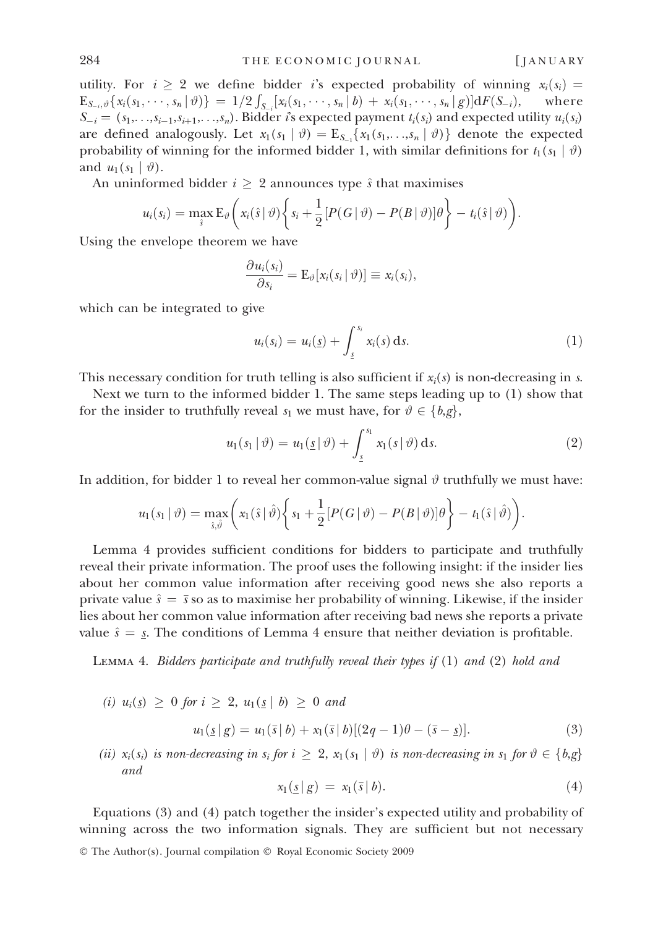utility. For  $i \geq 2$  we define bidder is expected probability of winning  $x_i(s_i) =$  $\mathbb{E}_{S_{-i},\vartheta}\{x_i(s_1,\dots,s_n | \vartheta)\} = 1/2$  $\mathbf{S}_{S_{-i}}[x_i(s_1,\cdots,s_n \,|\, b) + x_i(s_1,\cdots,s_n \,|\, g)]\mathrm{d}F(S_{-i}), \qquad \text{where}$  $S_{-i} = (s_1, \ldots, s_{i-1}, s_{i+1}, \ldots, s_n)$ . Bidder is expected payment  $t_i(s_i)$  and expected utility  $u_i(s_i)$ are defined analogously. Let  $x_1(s_1 | \vartheta) = \mathbb{E}_{S_{-1}}\{x_1(s_1,\ldots,s_n | \vartheta)\}\$  denote the expected probability of winning for the informed bidder 1, with similar definitions for  $t_1(s_1 | \vartheta)$ and  $u_1(s_1 | \vartheta)$ .

An uninformed bidder  $i \geq 2$  announces type  $\hat{s}$  that maximises

$$
u_i(s_i) = \max_{\hat{s}} \mathbb{E}_{\theta}\bigg(x_i(\hat{s} \,|\, \theta)\bigg\{s_i + \frac{1}{2}[P(G \,|\, \theta) - P(B \,|\, \theta)]\theta\bigg\} - t_i(\hat{s} \,|\, \theta)\bigg).
$$

Using the envelope theorem we have

$$
\frac{\partial u_i(s_i)}{\partial s_i} = \mathrm{E}_{\vartheta}[x_i(s_i | \vartheta)] \equiv x_i(s_i),
$$

which can be integrated to give

$$
u_i(s_i) = u_i(\underline{s}) + \int_{\underline{s}}^{s_i} x_i(s) \, \mathrm{d}s. \tag{1}
$$

This necessary condition for truth telling is also sufficient if  $x_i(s)$  is non-decreasing in s.

Next we turn to the informed bidder 1. The same steps leading up to (1) show that for the insider to truthfully reveal  $s_1$  we must have, for  $\vartheta \in \{b,g\}$ ,

$$
u_1(s_1 | \vartheta) = u_1(\underline{s} | \vartheta) + \int_{\underline{s}}^{s_1} x_1(s | \vartheta) ds.
$$
 (2)

In addition, for bidder 1 to reveal her common-value signal  $\vartheta$  truthfully we must have:

$$
u_1(s_1 \,|\, \vartheta) = \max_{\hat{s},\hat{\vartheta}} \bigg( x_1(\hat{s} \,|\, \hat{\vartheta}) \bigg\{ s_1 + \frac{1}{2} [P(G \,|\, \vartheta) - P(B \,|\, \vartheta)] \theta \bigg\} - t_1(\hat{s} \,|\, \hat{\vartheta}) \bigg).
$$

Lemma 4 provides sufficient conditions for bidders to participate and truthfully reveal their private information. The proof uses the following insight: if the insider lies about her common value information after receiving good news she also reports a private value  $\hat{s} = \bar{s}$  so as to maximise her probability of winning. Likewise, if the insider lies about her common value information after receiving bad news she reports a private value  $\hat{s} = s$ . The conditions of Lemma 4 ensure that neither deviation is profitable.

LEMMA 4. Bidders participate and truthfully reveal their types if  $(1)$  and  $(2)$  hold and

- (i)  $u_i(s) > 0$  for  $i > 2$ ,  $u_1(s | b) > 0$  and  $u_1(\underline{s} | g) = u_1(\overline{s} | b) + x_1(\overline{s} | b) [(2q - 1)\theta - (\overline{s} - \underline{s})].$  (3)
- (ii)  $x_i(s_i)$  is non-decreasing in  $s_i$  for  $i \geq 2$ ,  $x_1(s_1 \mid \vartheta)$  is non-decreasing in  $s_1$  for  $\vartheta \in \{b,g\}$ and

$$
x_1(\underline{s} | g) = x_1(\overline{s} | b). \tag{4}
$$

Equations (3) and (4) patch together the insider's expected utility and probability of winning across the two information signals. They are sufficient but not necessary © The Author(s). Journal compilation © Royal Economic Society 2009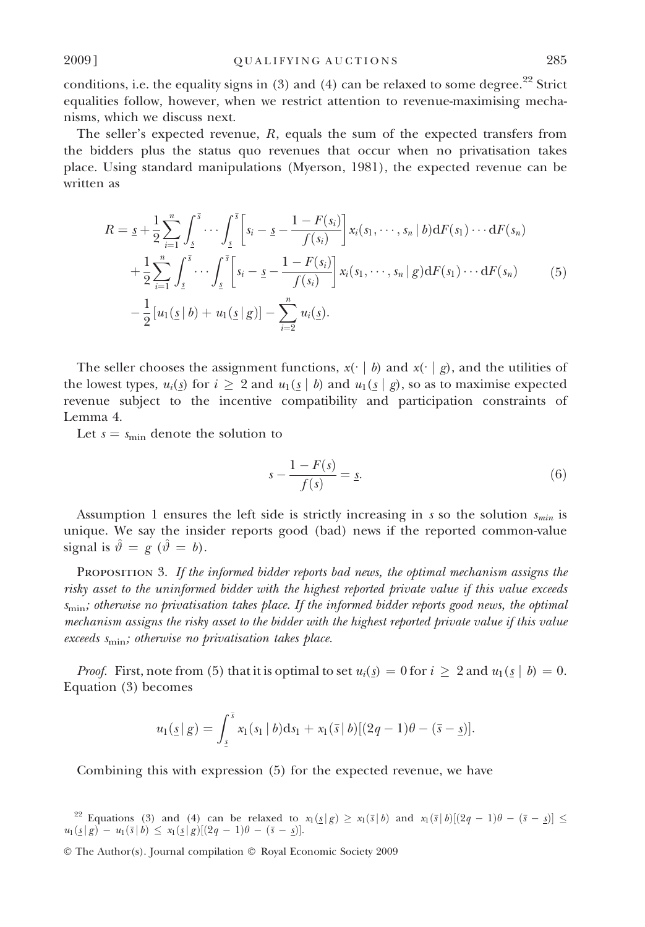conditions, i.e. the equality signs in  $(3)$  and  $(4)$  can be relaxed to some degree.<sup>22</sup> Strict equalities follow, however, when we restrict attention to revenue-maximising mechanisms, which we discuss next.

The seller's expected revenue, R, equals the sum of the expected transfers from the bidders plus the status quo revenues that occur when no privatisation takes place. Using standard manipulations (Myerson, 1981), the expected revenue can be written as

$$
R = \underline{s} + \frac{1}{2} \sum_{i=1}^{n} \int_{\underline{s}}^{\overline{s}} \cdots \int_{\underline{s}}^{\overline{s}} \left[ s_i - \underline{s} - \frac{1 - F(s_i)}{f(s_i)} \right] x_i(s_1, \dots, s_n | b) dF(s_1) \cdots dF(s_n)
$$
  
+ 
$$
\frac{1}{2} \sum_{i=1}^{n} \int_{\underline{s}}^{\overline{s}} \cdots \int_{\underline{s}}^{\overline{s}} \left[ s_i - \underline{s} - \frac{1 - F(s_i)}{f(s_i)} \right] x_i(s_1, \dots, s_n | g) dF(s_1) \cdots dF(s_n)
$$
(5)  
- 
$$
\frac{1}{2} [u_1(\underline{s} | b) + u_1(\underline{s} | g)] - \sum_{i=2}^{n} u_i(\underline{s}).
$$

The seller chooses the assignment functions,  $x(\cdot | b)$  and  $x(\cdot | g)$ , and the utilities of the lowest types,  $u_i(s)$  for  $i \geq 2$  and  $u_1(s \mid b)$  and  $u_1(s \mid g)$ , so as to maximise expected revenue subject to the incentive compatibility and participation constraints of Lemma 4.

Let  $s = s_{\min}$  denote the solution to

$$
s - \frac{1 - F(s)}{f(s)} = \underline{s}.
$$
 (6)

Assumption 1 ensures the left side is strictly increasing in  $s$  so the solution  $s_{min}$  is unique. We say the insider reports good (bad) news if the reported common-value signal is  $\hat{\vartheta} = g \ (\hat{\vartheta} = b)$ .

PROPOSITION 3. If the informed bidder reports bad news, the optimal mechanism assigns the risky asset to the uninformed bidder with the highest reported private value if this value exceeds  $s_{\text{min}}$ ; otherwise no privatisation takes place. If the informed bidder reports good news, the optimal mechanism assigns the risky asset to the bidder with the highest reported private value if this value exceeds  $s_{\min}$ ; otherwise no privatisation takes place.

*Proof.* First, note from (5) that it is optimal to set  $u_i(s) = 0$  for  $i \geq 2$  and  $u_1(s \mid b) = 0$ . Equation (3) becomes

$$
u_1(\underline{s} | g) = \int_{\underline{s}}^{\overline{s}} x_1(s_1 | b) ds_1 + x_1(\overline{s} | b) [(2q - 1)\theta - (\overline{s} - \underline{s})].
$$

Combining this with expression (5) for the expected revenue, we have

<sup>&</sup>lt;sup>22</sup> Equations (3) and (4) can be relaxed to  $x_1(s|g) \ge x_1(\bar{s}|b)$  and  $x_1(\bar{s}|b)[(2q-1)\theta - (\bar{s} - \bar{s})] \le$  $u_1(\underline{s} | g) - u_1(\overline{s} | b) \leq x_1(\underline{s} | g) [(2q - 1)\theta - (\overline{s} - \underline{s})].$ 

<sup>©</sup> The Author(s). Journal compilation © Royal Economic Society 2009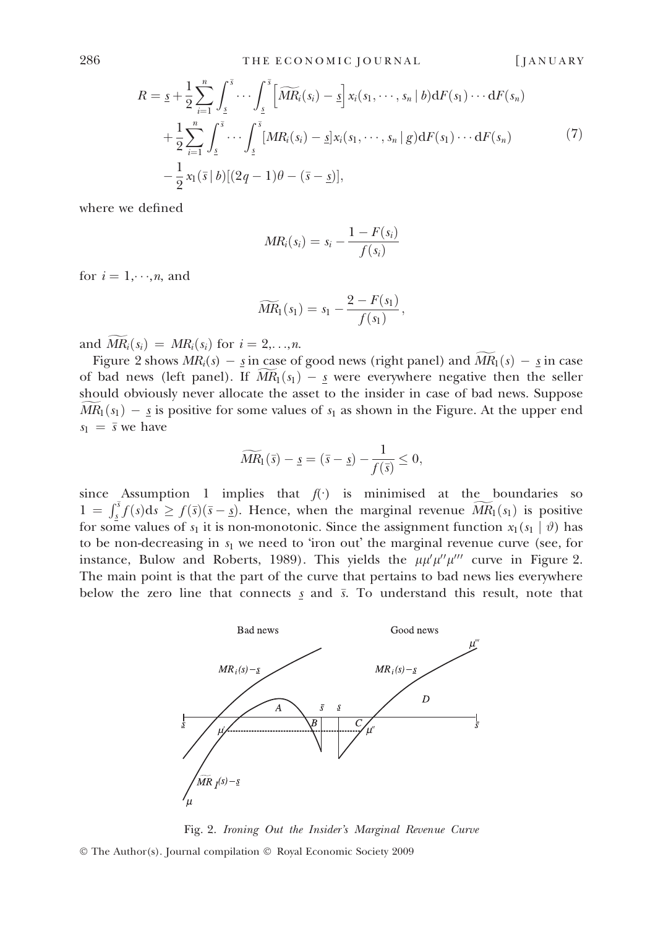$$
R = \underline{s} + \frac{1}{2} \sum_{i=1}^{n} \int_{\underline{s}}^{\overline{s}} \cdots \int_{\underline{s}}^{\overline{s}} \left[ \widetilde{MR}_{i}(s_{i}) - \underline{s} \right] x_{i}(s_{1}, \dots, s_{n} | b) dF(s_{1}) \cdots dF(s_{n})
$$
  
+ 
$$
\frac{1}{2} \sum_{i=1}^{n} \int_{\underline{s}}^{\overline{s}} \cdots \int_{\underline{s}}^{\overline{s}} \left[ MR_{i}(s_{i}) - \underline{s} \right] x_{i}(s_{1}, \dots, s_{n} | g) dF(s_{1}) \cdots dF(s_{n})
$$
  
- 
$$
\frac{1}{2} x_{1}(\overline{s} | b) \left[ (2q - 1)\theta - (\overline{s} - \underline{s}) \right],
$$
 (7)

where we defined

$$
MR_i(s_i) = s_i - \frac{1 - F(s_i)}{f(s_i)}
$$

for  $i = 1,\dots,n$ , and

$$
\widetilde{MR}_1(s_1) = s_1 - \frac{2 - F(s_1)}{f(s_1)},
$$

and  $\overline{MR}_i(s_i) = MR_i(s_i)$  for  $i = 2,...,n$ .

Figure 2 shows  $MR_i(s) - \underline{s}$  in case of good news (right panel) and  $MR_1(s) - \underline{s}$  in case of bad news (left panel). If  $MR_1(s_1) - \underline{s}$  were everywhere negative then the seller should obviously never allocate the asset to the insider in case of bad news. Suppose  $MR_1(s_1) - \underline{s}$  is positive for some values of  $s_1$  as shown in the Figure. At the upper end  $s_1 = \bar{s}$  we have

$$
\widetilde{MR}_1(\overline{s}) - \underline{s} = (\overline{s} - \underline{s}) - \frac{1}{f(\overline{s})} \leq 0,
$$

since Assumption 1 implies that  $f(\cdot)$  is minimised at the boundaries so  $1 = \int_{\frac{\bar{s}}{2}}^{\frac{\bar{s}}{2}} f(s) ds \ge f(\bar{s})(\bar{s} - \bar{s}).$  Hence, when the marginal revenue  $\overline{MR_1}(s_1)$  is positive for some values of  $s_1$  it is non-monotonic. Since the assignment function  $x_1(s_1 | \vartheta)$  has to be non-decreasing in  $s_1$  we need to 'iron out' the marginal revenue curve (see, for instance, Bulow and Roberts, 1989). This yields the  $\mu\mu'\mu'''\mu'''$  curve in Figure 2. The main point is that the part of the curve that pertains to bad news lies everywhere below the zero line that connects  $\frac{s}{s}$  and  $\overline{s}$ . To understand this result, note that



Fig. 2. Ironing Out the Insider's Marginal Revenue Curve © The Author(s). Journal compilation © Royal Economic Society 2009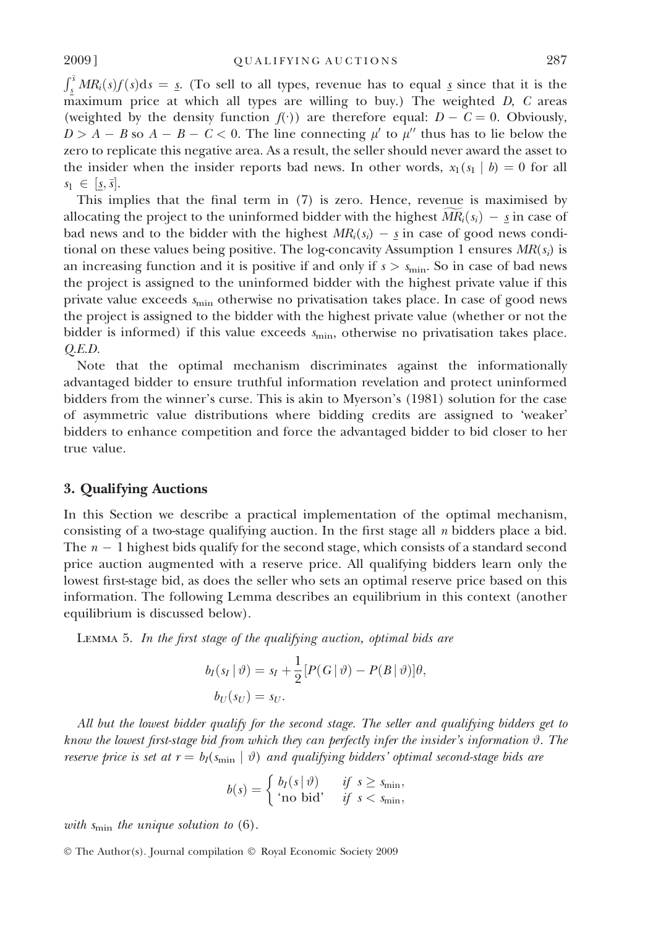$\int_{\frac{S}{2}}^{S} MR_i(s)f(s)ds = S$ . (To sell to all types, revenue has to equal s since that it is the maximum price at which all types are willing to buy.) The weighted  $D$ ,  $C$  areas (weighted by the density function  $f(·)$ ) are therefore equal:  $D - C = 0$ . Obviously,  $D > A - B$  so  $A - B - C < 0$ . The line connecting  $\mu'$  to  $\mu''$  thus has to lie below the zero to replicate this negative area. As a result, the seller should never award the asset to the insider when the insider reports bad news. In other words,  $x_1(s_1 | b) = 0$  for all  $s_1 \in [\underline{s}, \overline{s}].$ 

This implies that the final term in (7) is zero. Hence, revenue is maximised by allocating the project to the uninformed bidder with the highest  $MR_i(s_i) - \underline{s}$  in case of bad news and to the bidder with the highest  $MR_i(s_i) - \underline{s}$  in case of good news conditional on these values being positive. The log-concavity Assumption 1 ensures  $MR(s_i)$  is an increasing function and it is positive if and only if  $s > s_{\text{min}}$ . So in case of bad news the project is assigned to the uninformed bidder with the highest private value if this private value exceeds  $s_{\min}$  otherwise no privatisation takes place. In case of good news the project is assigned to the bidder with the highest private value (whether or not the bidder is informed) if this value exceeds  $s_{\min}$ , otherwise no privatisation takes place. Q.E.D.

Note that the optimal mechanism discriminates against the informationally advantaged bidder to ensure truthful information revelation and protect uninformed bidders from the winner's curse. This is akin to Myerson's (1981) solution for the case of asymmetric value distributions where bidding credits are assigned to 'weaker' bidders to enhance competition and force the advantaged bidder to bid closer to her true value.

## 3. Qualifying Auctions

In this Section we describe a practical implementation of the optimal mechanism, consisting of a two-stage qualifying auction. In the first stage all  $n$  bidders place a bid. The  $n-1$  highest bids qualify for the second stage, which consists of a standard second price auction augmented with a reserve price. All qualifying bidders learn only the lowest first-stage bid, as does the seller who sets an optimal reserve price based on this information. The following Lemma describes an equilibrium in this context (another equilibrium is discussed below).

Lemma 5. In the first stage of the qualifying auction, optimal bids are

$$
b_I(s_I | \vartheta) = s_I + \frac{1}{2} [P(G | \vartheta) - P(B | \vartheta)] \theta,
$$
  

$$
b_U(s_U) = s_U.
$$

All but the lowest bidder qualify for the second stage. The seller and qualifying bidders get to know the lowest first-stage bid from which they can perfectly infer the insider's information  $\vartheta$ . The reserve price is set at  $r = b_I(s_{\min} \mid \vartheta)$  and qualifying bidders' optimal second-stage bids are

$$
b(s) = \begin{cases} b_I(s \,|\, \vartheta) & \text{if } s \ge s_{\min}, \\ \text{`no bid'} & \text{if } s < s_{\min}, \end{cases}
$$

with  $s_{\min}$  the unique solution to (6).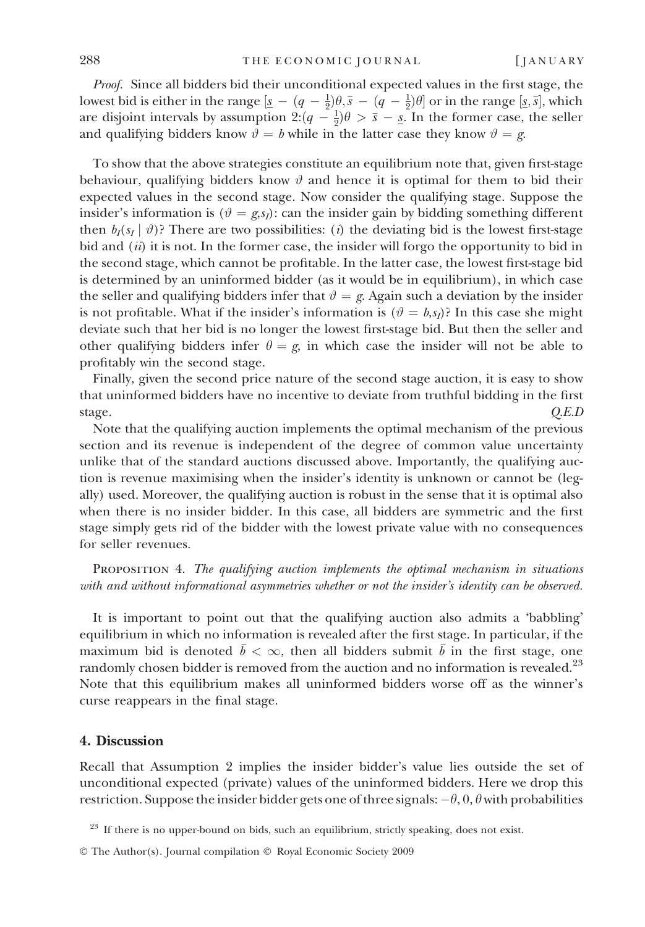Proof. Since all bidders bid their unconditional expected values in the first stage, the lowest bid is either in the range  $s = (q - \frac{1}{2})\theta$ ,  $\bar{s} = (q - \frac{1}{2})\theta$  or in the range  $s = s$ , which are disjoint intervals by assumption  $2:(q - \frac{1}{2})\theta > \bar{s} - \underline{s}$ . In the former case, the seller and qualifying bidders know  $\vartheta = b$  while in the latter case they know  $\vartheta = g$ .

To show that the above strategies constitute an equilibrium note that, given first-stage behaviour, qualifying bidders know  $\vartheta$  and hence it is optimal for them to bid their expected values in the second stage. Now consider the qualifying stage. Suppose the insider's information is  $(\vartheta = g, s_1)$ : can the insider gain by bidding something different then  $b_I(s_I | \vartheta)$ ? There are two possibilities: (*i*) the deviating bid is the lowest first-stage bid and  $(ii)$  it is not. In the former case, the insider will forgo the opportunity to bid in the second stage, which cannot be profitable. In the latter case, the lowest first-stage bid is determined by an uninformed bidder (as it would be in equilibrium), in which case the seller and qualifying bidders infer that  $\vartheta = g$ . Again such a deviation by the insider is not profitable. What if the insider's information is  $(\vartheta = b,s<sub>l</sub>)$ ? In this case she might deviate such that her bid is no longer the lowest first-stage bid. But then the seller and other qualifying bidders infer  $\theta = g$ , in which case the insider will not be able to profitably win the second stage.

Finally, given the second price nature of the second stage auction, it is easy to show that uninformed bidders have no incentive to deviate from truthful bidding in the first stage.  $Q.E.D$ 

Note that the qualifying auction implements the optimal mechanism of the previous section and its revenue is independent of the degree of common value uncertainty unlike that of the standard auctions discussed above. Importantly, the qualifying auction is revenue maximising when the insider's identity is unknown or cannot be (legally) used. Moreover, the qualifying auction is robust in the sense that it is optimal also when there is no insider bidder. In this case, all bidders are symmetric and the first stage simply gets rid of the bidder with the lowest private value with no consequences for seller revenues.

PROPOSITION 4. The qualifying auction implements the optimal mechanism in situations with and without informational asymmetries whether or not the insider's identity can be observed.

It is important to point out that the qualifying auction also admits a 'babbling' equilibrium in which no information is revealed after the first stage. In particular, if the maximum bid is denoted  $\bar{b} < \infty$ , then all bidders submit  $\bar{b}$  in the first stage, one randomly chosen bidder is removed from the auction and no information is revealed.<sup>23</sup> Note that this equilibrium makes all uninformed bidders worse off as the winner's curse reappears in the final stage.

# 4. Discussion

Recall that Assumption 2 implies the insider bidder's value lies outside the set of unconditional expected (private) values of the uninformed bidders. Here we drop this restriction. Suppose the insider bidder gets one of three signals:  $-\theta$ , 0,  $\theta$  with probabilities

<sup>&</sup>lt;sup>23</sup> If there is no upper-bound on bids, such an equilibrium, strictly speaking, does not exist.

<sup>©</sup> The Author(s). Journal compilation © Royal Economic Society 2009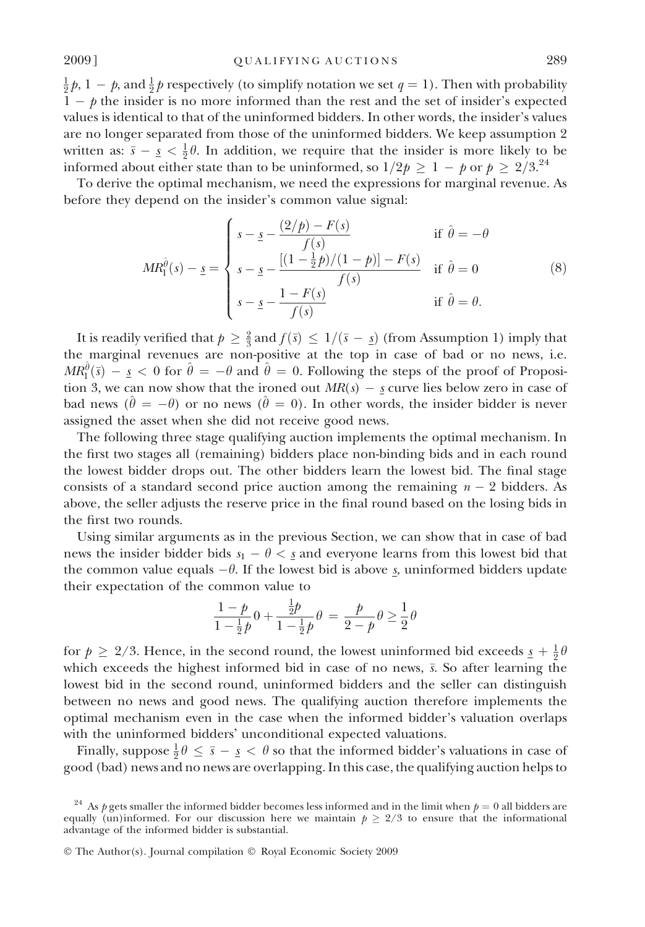$\frac{1}{2}p$ ,  $1-p$ , and  $\frac{1}{2}p$  respectively (to simplify notation we set  $q=1$ ). Then with probability  $1 - p$  the insider is no more informed than the rest and the set of insider's expected values is identical to that of the uninformed bidders. In other words, the insider's values are no longer separated from those of the uninformed bidders. We keep assumption 2 written as:  $\bar{s} - \underline{s} < \frac{1}{2}\theta$ . In addition, we require that the insider is more likely to be informed about either state than to be uninformed, so  $1/2p\,\geq\,1\,-\,p$  or  $p\,\geq\,2/3.^{24}$ 

To derive the optimal mechanism, we need the expressions for marginal revenue. As before they depend on the insider's common value signal:

$$
MR_1^{\hat{\theta}}(s) - \underline{s} = \begin{cases} s - \underline{s} - \frac{(2/p) - F(s)}{f(s)} & \text{if } \hat{\theta} = -\theta \\ s - \underline{s} - \frac{[(1 - \frac{1}{2}p)/(1 - p)] - F(s)}{f(s)} & \text{if } \hat{\theta} = 0 \\ s - \underline{s} - \frac{1 - F(s)}{f(s)} & \text{if } \hat{\theta} = \theta. \end{cases}
$$
(8)

It is readily verified that  $p \geq \frac{2}{3}$  and  $f(\bar{s}) \leq 1/(\bar{s} - \underline{s})$  (from Assumption 1) imply that the marginal revenues are non-positive at the top in case of bad or no news, i.e.  $MR^{\hat{\theta}}_1(\bar{s}) - \underline{s} < 0$  for  $\hat{\theta} = -\theta$  and  $\hat{\theta} = 0$ . Following the steps of the proof of Proposition 3, we can now show that the ironed out  $MR(s) - \underline{s}$  curve lies below zero in case of bad news  $(\hat{\theta} = -\theta)$  or no news  $(\hat{\theta} = 0)$ . In other words, the insider bidder is never assigned the asset when she did not receive good news.

The following three stage qualifying auction implements the optimal mechanism. In the first two stages all (remaining) bidders place non-binding bids and in each round the lowest bidder drops out. The other bidders learn the lowest bid. The final stage consists of a standard second price auction among the remaining  $n-2$  bidders. As above, the seller adjusts the reserve price in the final round based on the losing bids in the first two rounds.

Using similar arguments as in the previous Section, we can show that in case of bad news the insider bidder bids  $s_1 - \theta < \underline{s}$  and everyone learns from this lowest bid that the common value equals  $-\theta$ . If the lowest bid is above  $\underline{s}$ , uninformed bidders update their expectation of the common value to

$$
\frac{1-p}{1-\frac{1}{2}p}0 + \frac{\frac{1}{2}p}{1-\frac{1}{2}p}\theta = \frac{p}{2-p}\theta \ge \frac{1}{2}\theta
$$

for  $p \ge 2/3$ . Hence, in the second round, the lowest uninformed bid exceeds  $\underline{s} + \frac{1}{2}\theta$ which exceeds the highest informed bid in case of no news,  $\bar{s}$ . So after learning the lowest bid in the second round, uninformed bidders and the seller can distinguish between no news and good news. The qualifying auction therefore implements the optimal mechanism even in the case when the informed bidder's valuation overlaps with the uninformed bidders' unconditional expected valuations.

Finally, suppose  $\frac{1}{2}\theta \leq \bar{s} - \underline{s} < \theta$  so that the informed bidder's valuations in case of good (bad) news and no news are overlapping. In this case, the qualifying auction helps to

<sup>&</sup>lt;sup>24</sup> As p gets smaller the informed bidder becomes less informed and in the limit when  $p = 0$  all bidders are equally (un)informed. For our discussion here we maintain  $p \geq 2/3$  to ensure that the informational advantage of the informed bidder is substantial.

<sup>©</sup> The Author(s). Journal compilation © Royal Economic Society 2009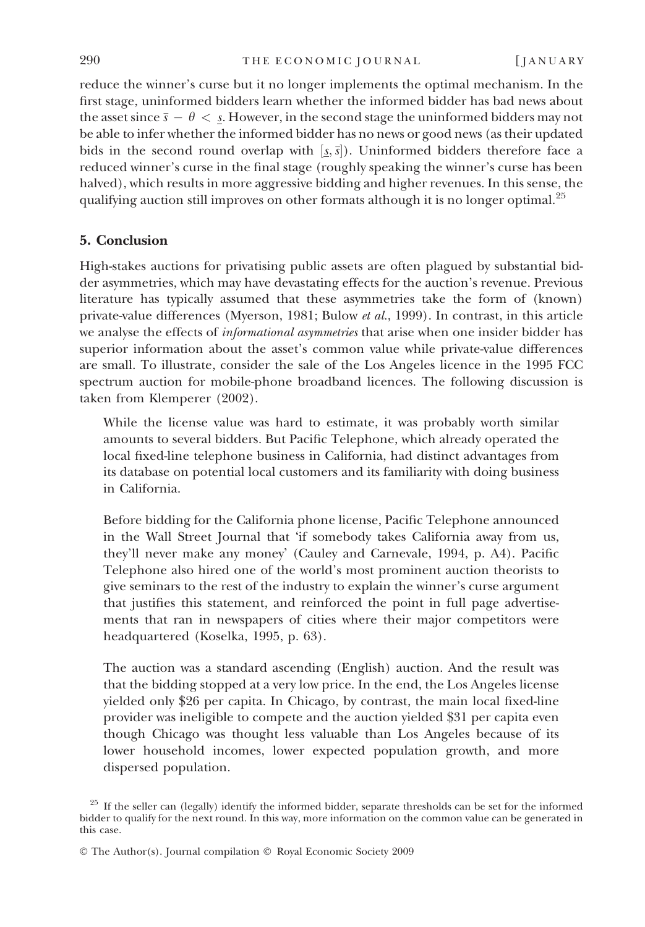reduce the winner's curse but it no longer implements the optimal mechanism. In the first stage, uninformed bidders learn whether the informed bidder has bad news about the asset since  $\bar{s} - \theta < \underline{s}$ . However, in the second stage the uninformed bidders may not be able to infer whether the informed bidder has no news or good news (as their updated bids in the second round overlap with  $[\underline{s}, \overline{s}]$ ). Uninformed bidders therefore face a reduced winner's curse in the final stage (roughly speaking the winner's curse has been halved), which results in more aggressive bidding and higher revenues. In this sense, the qualifying auction still improves on other formats although it is no longer optimal.<sup>25</sup>

# 5. Conclusion

High-stakes auctions for privatising public assets are often plagued by substantial bidder asymmetries, which may have devastating effects for the auction's revenue. Previous literature has typically assumed that these asymmetries take the form of (known) private-value differences (Myerson, 1981; Bulow et al., 1999). In contrast, in this article we analyse the effects of *informational asymmetries* that arise when one insider bidder has superior information about the asset's common value while private-value differences are small. To illustrate, consider the sale of the Los Angeles licence in the 1995 FCC spectrum auction for mobile-phone broadband licences. The following discussion is taken from Klemperer (2002).

While the license value was hard to estimate, it was probably worth similar amounts to several bidders. But Pacific Telephone, which already operated the local fixed-line telephone business in California, had distinct advantages from its database on potential local customers and its familiarity with doing business in California.

Before bidding for the California phone license, Pacific Telephone announced in the Wall Street Journal that 'if somebody takes California away from us, they'll never make any money (Cauley and Carnevale, 1994, p. A4). Pacific Telephone also hired one of the world's most prominent auction theorists to give seminars to the rest of the industry to explain the winner's curse argument that justifies this statement, and reinforced the point in full page advertisements that ran in newspapers of cities where their major competitors were headquartered (Koselka, 1995, p. 63).

The auction was a standard ascending (English) auction. And the result was that the bidding stopped at a very low price. In the end, the Los Angeles license yielded only \$26 per capita. In Chicago, by contrast, the main local fixed-line provider was ineligible to compete and the auction yielded \$31 per capita even though Chicago was thought less valuable than Los Angeles because of its lower household incomes, lower expected population growth, and more dispersed population.

<sup>&</sup>lt;sup>25</sup> If the seller can (legally) identify the informed bidder, separate thresholds can be set for the informed bidder to qualify for the next round. In this way, more information on the common value can be generated in this case.

<sup>©</sup> The Author(s). Journal compilation © Royal Economic Society 2009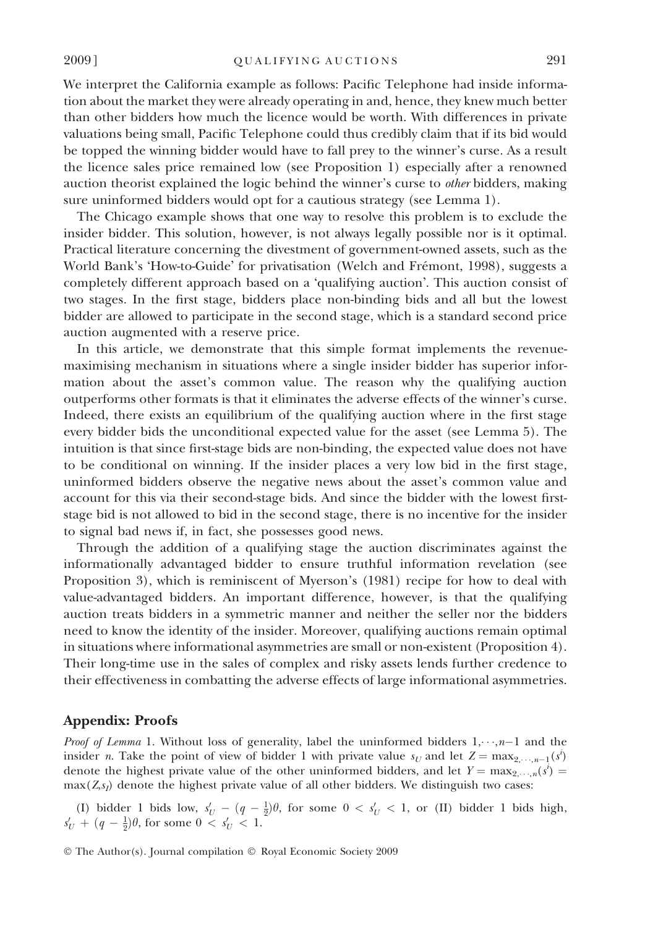We interpret the California example as follows: Pacific Telephone had inside information about the market they were already operating in and, hence, they knew much better than other bidders how much the licence would be worth. With differences in private valuations being small, Pacific Telephone could thus credibly claim that if its bid would be topped the winning bidder would have to fall prey to the winner's curse. As a result the licence sales price remained low (see Proposition 1) especially after a renowned auction theorist explained the logic behind the winner's curse to other bidders, making sure uninformed bidders would opt for a cautious strategy (see Lemma 1).

The Chicago example shows that one way to resolve this problem is to exclude the insider bidder. This solution, however, is not always legally possible nor is it optimal. Practical literature concerning the divestment of government-owned assets, such as the World Bank's 'How-to-Guide' for privatisation (Welch and Frémont, 1998), suggests a completely different approach based on a 'qualifying auction'. This auction consist of two stages. In the first stage, bidders place non-binding bids and all but the lowest bidder are allowed to participate in the second stage, which is a standard second price auction augmented with a reserve price.

In this article, we demonstrate that this simple format implements the revenuemaximising mechanism in situations where a single insider bidder has superior information about the asset's common value. The reason why the qualifying auction outperforms other formats is that it eliminates the adverse effects of the winner's curse. Indeed, there exists an equilibrium of the qualifying auction where in the first stage every bidder bids the unconditional expected value for the asset (see Lemma 5). The intuition is that since first-stage bids are non-binding, the expected value does not have to be conditional on winning. If the insider places a very low bid in the first stage, uninformed bidders observe the negative news about the asset's common value and account for this via their second-stage bids. And since the bidder with the lowest firststage bid is not allowed to bid in the second stage, there is no incentive for the insider to signal bad news if, in fact, she possesses good news.

Through the addition of a qualifying stage the auction discriminates against the informationally advantaged bidder to ensure truthful information revelation (see Proposition 3), which is reminiscent of Myerson's (1981) recipe for how to deal with value-advantaged bidders. An important difference, however, is that the qualifying auction treats bidders in a symmetric manner and neither the seller nor the bidders need to know the identity of the insider. Moreover, qualifying auctions remain optimal in situations where informational asymmetries are small or non-existent (Proposition 4). Their long-time use in the sales of complex and risky assets lends further credence to their effectiveness in combatting the adverse effects of large informational asymmetries.

# Appendix: Proofs

*Proof of Lemma* 1. Without loss of generality, label the uninformed bidders  $1, \dots, n-1$  and the insider *n*. Take the point of view of bidder 1 with private value  $s_U$  and let  $Z = \max_{2, \dots, n-1} (s^i)$ denote the highest private value of the other uninformed bidders, and let  $Y = \max_{2, \dots, n} (s^i) =$  $max(Z,s<sub>i</sub>)$  denote the highest private value of all other bidders. We distinguish two cases:

(I) bidder 1 bids low,  $s_U - (q - \frac{1}{2})\theta$ , for some  $0 < s_U < 1$ , or (II) bidder 1 bids high,  $s'_U + (q - \frac{1}{2})\theta$ , for some  $0 < s'_U < 1$ .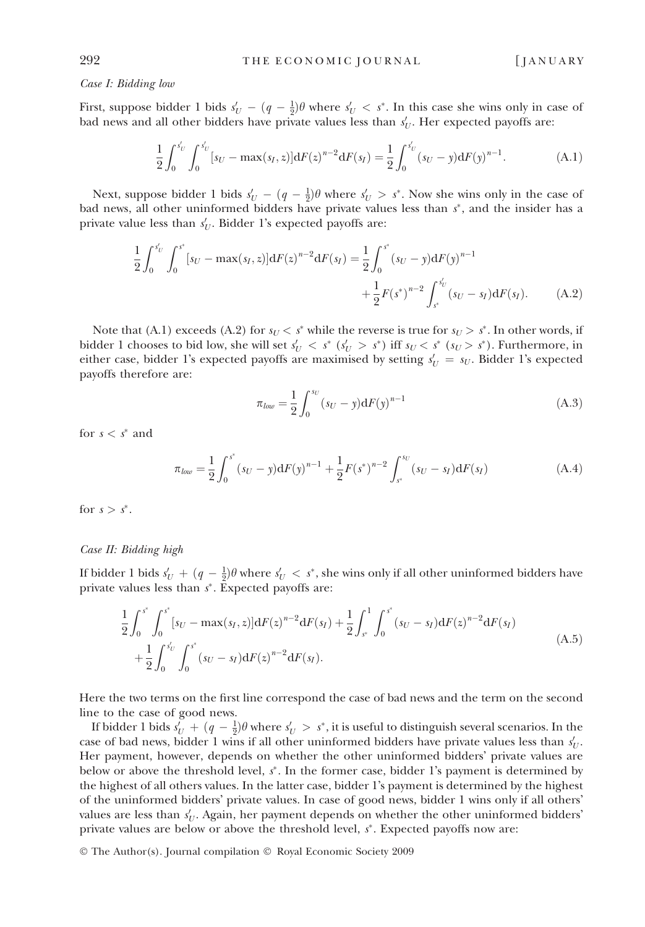Case I: Bidding low

First, suppose bidder 1 bids  $s'_U - (q - \frac{1}{2})\theta$  where  $s'_U < s^*$ . In this case she wins only in case of bad news and all other bidders have private values less than  $s'_U$ . Her expected payoffs are:

$$
\frac{1}{2} \int_0^{s'_U} \int_0^{s'_U} [s_U - \max(s_I, z)] dF(z)^{n-2} dF(s_I) = \frac{1}{2} \int_0^{s'_U} (s_U - y) dF(y)^{n-1}.
$$
 (A.1)

Next, suppose bidder 1 bids  $s_U - (q - \frac{1}{2})\theta$  where  $s_U > s^*$ . Now she wins only in the case of bad news, all other uninformed bidders have private values less than  $s^*$ , and the insider has a private value less than  $s_U'$ . Bidder 1's expected payoffs are:

$$
\frac{1}{2} \int_0^{s'_U} \int_0^{s^*} [s_U - \max(s_I, z)] dF(z)^{n-2} dF(s_I) = \frac{1}{2} \int_0^{s^*} (s_U - y) dF(y)^{n-1} + \frac{1}{2} F(s^*)^{n-2} \int_{s^*}^{s'_U} (s_U - s_I) dF(s_I). \tag{A.2}
$$

Note that (A.1) exceeds (A.2) for  $s_U < s^*$  while the reverse is true for  $s_U > s^*$ . In other words, if bidder 1 chooses to bid low, she will set  $s_U' < s^*$  ( $s_U > s^*$ ) iff  $s_U < s^*$  ( $s_U > s^*$ ). Furthermore, in either case, bidder 1's expected payoffs are maximised by setting  $s_U' = s_U$ . Bidder 1's expected payoffs therefore are:

$$
\pi_{low} = \frac{1}{2} \int_0^{s_U} (s_U - y) dF(y)^{n-1}
$$
\n(A.3)

for  $s < s^*$  and

$$
\pi_{low} = \frac{1}{2} \int_0^{s^*} (s_U - y) dF(y)^{n-1} + \frac{1}{2} F(s^*)^{n-2} \int_{s^*}^{s_U} (s_U - s_I) dF(s_I)
$$
\n(A.4)

for  $s > s^*$ .

#### Case II: Bidding high

If bidder 1 bids  $s_U + (q - \frac{1}{2})\theta$  where  $s_U' < s^*$ , she wins only if all other uninformed bidders have private values less than  $s^*$ . Expected payoffs are:

$$
\frac{1}{2} \int_0^{s^*} \int_0^{s^*} [s_U - \max(s_I, z)] dF(z)^{n-2} dF(s_I) + \frac{1}{2} \int_{s^*}^1 \int_0^{s^*} (s_U - s_I) dF(z)^{n-2} dF(s_I) \n+ \frac{1}{2} \int_0^{s_U'} \int_0^{s^*} (s_U - s_I) dF(z)^{n-2} dF(s_I).
$$
\n(A.5)

Here the two terms on the first line correspond the case of bad news and the term on the second line to the case of good news.

If bidder 1 bids  $s_U + (q - \frac{1}{2})\theta$  where  $s_U > s^*$ , it is useful to distinguish several scenarios. In the case of bad news, bidder 1 wins if all other uninformed bidders have private values less than  $s_U'$ . Her payment, however, depends on whether the other uninformed bidders' private values are below or above the threshold level,  $s^*$ . In the former case, bidder 1's payment is determined by the highest of all others values. In the latter case, bidder 1's payment is determined by the highest of the uninformed bidders' private values. In case of good news, bidder 1 wins only if all others' values are less than  $s_U'$ . Again, her payment depends on whether the other uninformed bidders' private values are below or above the threshold level,  $s^*$ . Expected payoffs now are: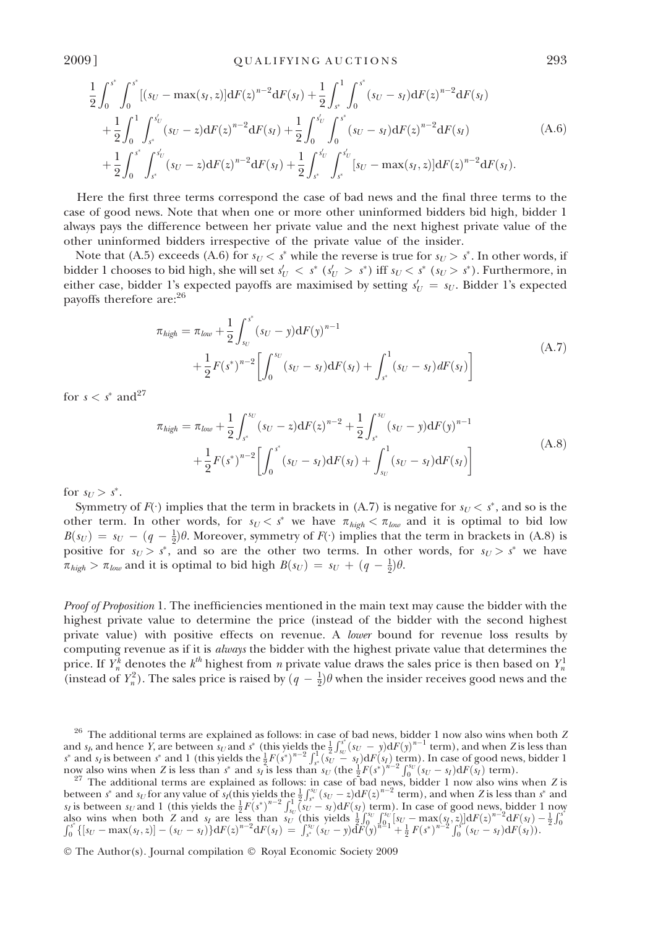$$
\frac{1}{2} \int_{0}^{s^{*}} \int_{0}^{s^{*}} [(s_{U} - \max(s_{I}, z)] dF(z)^{n-2} dF(s_{I}) + \frac{1}{2} \int_{s^{*}}^{1} \int_{0}^{s^{*}} (s_{U} - s_{I}) dF(z)^{n-2} dF(s_{I}) \n+ \frac{1}{2} \int_{0}^{1} \int_{s^{*}}^{s_{U}'} (s_{U} - z) dF(z)^{n-2} dF(s_{I}) + \frac{1}{2} \int_{0}^{s_{U}'} \int_{0}^{s^{*}} (s_{U} - s_{I}) dF(z)^{n-2} dF(s_{I}) \n+ \frac{1}{2} \int_{0}^{s^{*}} \int_{s^{*}}^{s_{U}'} (s_{U} - z) dF(z)^{n-2} dF(s_{I}) + \frac{1}{2} \int_{s^{*}}^{s_{U}'} \int_{s^{*}}^{s_{U}'} [s_{U} - \max(s_{I}, z)] dF(z)^{n-2} dF(s_{I}).
$$
\n(A.6)

Here the first three terms correspond the case of bad news and the final three terms to the case of good news. Note that when one or more other uninformed bidders bid high, bidder 1 always pays the difference between her private value and the next highest private value of the other uninformed bidders irrespective of the private value of the insider.

Note that (A.5) exceeds (A.6) for  $s_U < s^*$  while the reverse is true for  $s_U > s^*$ . In other words, if bidder 1 chooses to bid high, she will set  $s_U' < s^*$  ( $s_U' > s^*$ ) iff  $s_U < s^*$  ( $s_U > s^*$ ). Furthermore, in either case, bidder 1's expected payoffs are maximised by setting  $s_U = s_U$ . Bidder 1's expected payoffs therefore are:<sup>26</sup>

$$
\pi_{high} = \pi_{low} + \frac{1}{2} \int_{s_U}^{s^*} (s_U - y) dF(y)^{n-1} + \frac{1}{2} F(s^*)^{n-2} \left[ \int_0^{s_U} (s_U - s_I) dF(s_I) + \int_{s^*}^1 (s_U - s_I) dF(s_I) \right]
$$
\n(A.7)

for  $s < s^*$  and<sup>27</sup>

$$
\pi_{high} = \pi_{low} + \frac{1}{2} \int_{s^*}^{s_U} (s_U - z) dF(z)^{n-2} + \frac{1}{2} \int_{s^*}^{s_U} (s_U - y) dF(y)^{n-1} + \frac{1}{2} F(s^*)^{n-2} \left[ \int_0^{s^*} (s_U - s_I) dF(s_I) + \int_{s_U}^1 (s_U - s_I) dF(s_I) \right]
$$
\n(A.8)

for  $s_U > s^*$ .

Symmetry of  $F(\cdot)$  implies that the term in brackets in (A.7) is negative for  $s_U < s^*$ , and so is the other term. In other words, for  $s_U < s^*$  we have  $\pi_{high} < \pi_{low}$  and it is optimal to bid low  $B(s_U) = s_U - (q - \frac{1}{2})\theta$ . Moreover, symmetry of  $F(\cdot)$  implies that the term in brackets in (A.8) is positive for  $s_U > s^*$ , and so are the other two terms. In other words, for  $s_U > s^*$  we have  $\pi_{high} > \pi_{low}$  and it is optimal to bid high  $B(s_U) = s_U + (q - \frac{1}{2})\theta$ .

Proof of Proposition 1. The inefficiencies mentioned in the main text may cause the bidder with the highest private value to determine the price (instead of the bidder with the second highest private value) with positive effects on revenue. A lower bound for revenue loss results by computing revenue as if it is always the bidder with the highest private value that determines the price. If  $Y_n^k$  denotes the  $k^h$  highest from *n* private value draws the sales price is then based on  $Y_n^1$ (instead of  $Y_n^2$ ). The sales price is raised by  $(q - \frac{1}{2})\theta$  when the insider receives good news and the

 $^{26}$  The additional terms are explained as follows: in case of bad news, bidder 1 now also wins when both 2 and s<sub>I</sub>, and hence Y, are between s<sub>U</sub> and  $s^*$  (this yields the  $\frac{1}{2} \int_{s_U}^{s^*} (s_U - y) dF(y)^{n-1}$  term), and when Z is less than  $s^*$  and  $s_I$  is between  $s^*$  and 1 (this yields the  $\frac{1}{2}F(s^*)^{n-2}\int_{s^*}^{1/2}(s_U-s_I)dF(s_I)$  erm). In case of good news, bidder 1 now also wins when Z is less than  $s^*$  and  $s_I$  is less than  $s_U$  (the  $\frac{1}{2}F(s^*)^{n-2}\int_0^{s_U} (s_U - s_I)dF(s_I)$  term).<br><sup>27</sup> The additional terms are explained as follows: in case of bad news, bidder 1 now also wins when Z is

between s<sup>\*</sup> and s<sub>U</sub> for any value of s<sub>I</sub>(this yields the  $\frac{1}{2}\int_{s^*}^{s_U} (s_U - z) dF(z)^{n-2}$  term), and when Z is less than s<sup>\*</sup> and between s and s<sub>U</sub> for any value of s<sub>I</sub>(tins yields the  $\frac{1}{2}F(s^*)^{n-2}\int_{s_U}^{1/2}(s_U-s_I)dF(s_I)$  term). In case of good news, bidder 1 now also wins when both Z and s<sub>I</sub> are less than s<sub>U</sub> (s<sub>U</sub> - s<sub>I</sub>) av (s<sub>U</sub> - si in tase of good hews, bidden I how<br>also wins when both Z and s<sub>I</sub> are less than s<sub>U</sub> (this yields  $\frac{1}{2} \int_0^y \int_{0}^{8U} \int_{1}^{5U} [5U - \max(s_1, s_2$  $\int_0^{8.6} {\left[ \left[ \frac{8y}{bU} - \max(s_I, z) \right] - \left( \frac{s_U}{bU} - \frac{s_I}{bU} \right) \right]} dF(z)^{n-2} dF(s_I) = \int_{s^*}^{s_U} \left( \frac{s_U}{bU} - \frac{s_I}{bU} \right) \frac{d_0}{b} \left[ \frac{1}{bU} - \frac{\max(s_I, z_J)}{b} \right] d_0 \left( \frac{s_I}{bU} - \frac{s_I}{bU} \right)$ 

<sup>©</sup> The Author(s). Journal compilation © Royal Economic Society 2009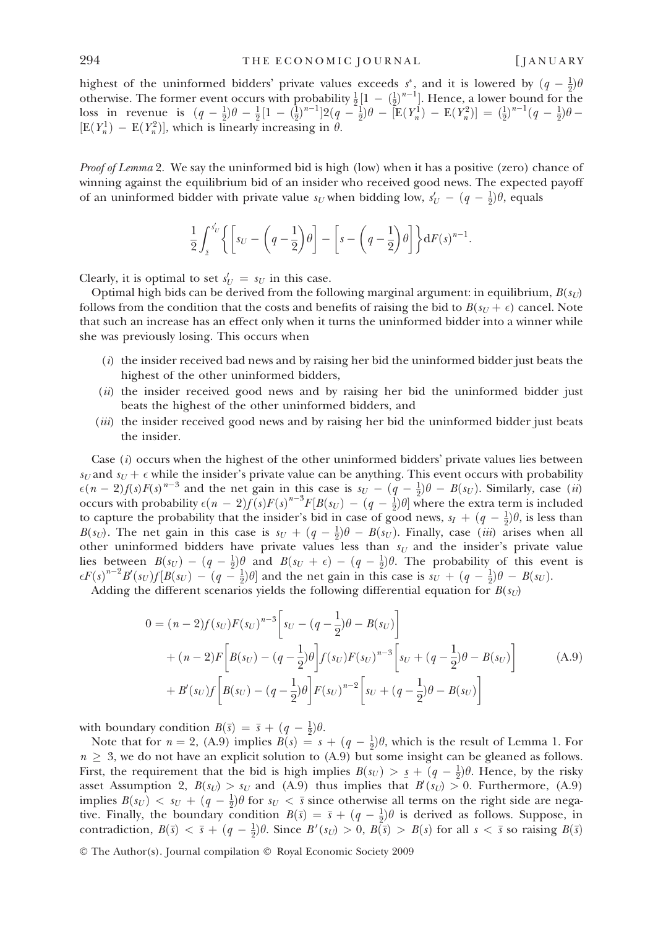highest of the uninformed bidders' private values exceeds  $s^*$ , and it is lowered by  $(q - \frac{1}{2})\theta$ otherwise. The former event occurs with probability  $\frac{1}{2} \left[ 1 - \left( \frac{1}{2} \right)^{n-1} \right]$ . Hence, a lower bound for the loss in revenue is  $(q - \frac{1}{2})\theta - \frac{1}{2}[1 - (\frac{1}{2})^{n-1}]2(q - \frac{1}{2})\theta - [\mathbb{E}(Y_n^1) - \mathbb{E}(Y_n^2)] = (\frac{1}{2})^{n-1}(q - \frac{1}{2})\theta [E(Y_n^1) - E(Y_n^2)]$ , which is linearly increasing in  $\theta$ .

Proof of Lemma 2. We say the uninformed bid is high (low) when it has a positive (zero) chance of winning against the equilibrium bid of an insider who received good news. The expected payoff of an uninformed bidder with private value  $s_U$  when bidding low,  $s_U' - (q - \frac{1}{2})\theta$ , equals

$$
\frac{1}{2} \int_{\underline{s}}^{s'_{U}} \left\{ \left[ s_{U} - \left( q - \frac{1}{2} \right) \theta \right] - \left[ s - \left( q - \frac{1}{2} \right) \theta \right] \right\} dF(s)^{n-1}.
$$

Clearly, it is optimal to set  $s_U' = s_U$  in this case.

Optimal high bids can be derived from the following marginal argument: in equilibrium,  $B(s_U)$ follows from the condition that the costs and benefits of raising the bid to  $B(s_U + \epsilon)$  cancel. Note that such an increase has an effect only when it turns the uninformed bidder into a winner while she was previously losing. This occurs when

- $(i)$  the insider received bad news and by raising her bid the uninformed bidder just beats the highest of the other uninformed bidders,
- (*ii*) the insider received good news and by raising her bid the uninformed bidder just beats the highest of the other uninformed bidders, and
- (*iii*) the insider received good news and by raising her bid the uninformed bidder just beats the insider.

Case  $(i)$  occurs when the highest of the other uninformed bidders' private values lies between  $s_U$  and  $s_U + \epsilon$  while the insider's private value can be anything. This event occurs with probability  $\epsilon (n-2) f(s) F(s)^{n-3}$  and the net gain in this case is  $s_U - (q - \frac{1}{2}) \theta - B(s_U)$ . Similarly, case (*ii*) occurs with probability  $\epsilon(n-2)f(s)F(s)^{n-3}F[B(s_U)-(q-\frac{1}{2})\theta]$  where the extra term is included to capture the probability that the insider's bid in case of good news,  $s_I + (q - \frac{1}{2})\theta$ , is less than  $B(s_U)$ . The net gain in this case is  $s_U + (q - \frac{1}{2})\theta - B(s_U)$ . Finally, case *(iii)* arises when all other uninformed bidders have private values less than  $s_U$  and the insider's private value lies between  $B(s_U) - (q - \frac{1}{2})\theta$  and  $B(s_U + \epsilon) - (q - \frac{1}{2})\theta$ . The probability of this event is  $\epsilon F(s)^{n-2}B'(s_U)f[B(s_U) - (q-\frac{1}{2})\theta]$  and the net gain in this case is  $s_U + (q-\frac{1}{2})\theta - B(s_U)$ .

Adding the different scenarios yields the following differential equation for  $B(s_U)$ 

$$
0 = (n-2)f(s_U)F(s_U)^{n-3}\left[s_U - (q - \frac{1}{2})\theta - B(s_U)\right] + (n-2)F\left[B(s_U) - (q - \frac{1}{2})\theta\right]f(s_U)F(s_U)^{n-3}\left[s_U + (q - \frac{1}{2})\theta - B(s_U)\right] + B'(s_U)f\left[B(s_U) - (q - \frac{1}{2})\theta\right]F(s_U)^{n-2}\left[s_U + (q - \frac{1}{2})\theta - B(s_U)\right]
$$
(A.9)

with boundary condition  $B(\bar{s}) = \bar{s} + (q - \frac{1}{2})\theta$ .

Note that for  $n = 2$ , (A.9) implies  $B(s) = s + (q - \frac{1}{2})\theta$ , which is the result of Lemma 1. For  $n \geq 3$ , we do not have an explicit solution to (A.9) but some insight can be gleaned as follows. First, the requirement that the bid is high implies  $B(s_U) > S + (q - \frac{1}{2})\theta$ . Hence, by the risky asset Assumption 2,  $B(s_U) > s_U$  and (A.9) thus implies that  $B'(s_U) > 0$ . Furthermore, (A.9) implies  $B(s_U) < s_U + (q - \frac{1}{2})\theta$  for  $s_U < \overline{s}$  since otherwise all terms on the right side are negative. Finally, the boundary condition  $B(\bar{s}) = \bar{s} + (q - \frac{1}{2})\theta$  is derived as follows. Suppose, in contradiction,  $B(\bar{s}) < \bar{s} + (q - \frac{1}{2})\theta$ . Since  $B'(s_U) > 0$ ,  $B(\bar{s}) > B(s)$  for all  $s < \bar{s}$  so raising  $B(\bar{s})$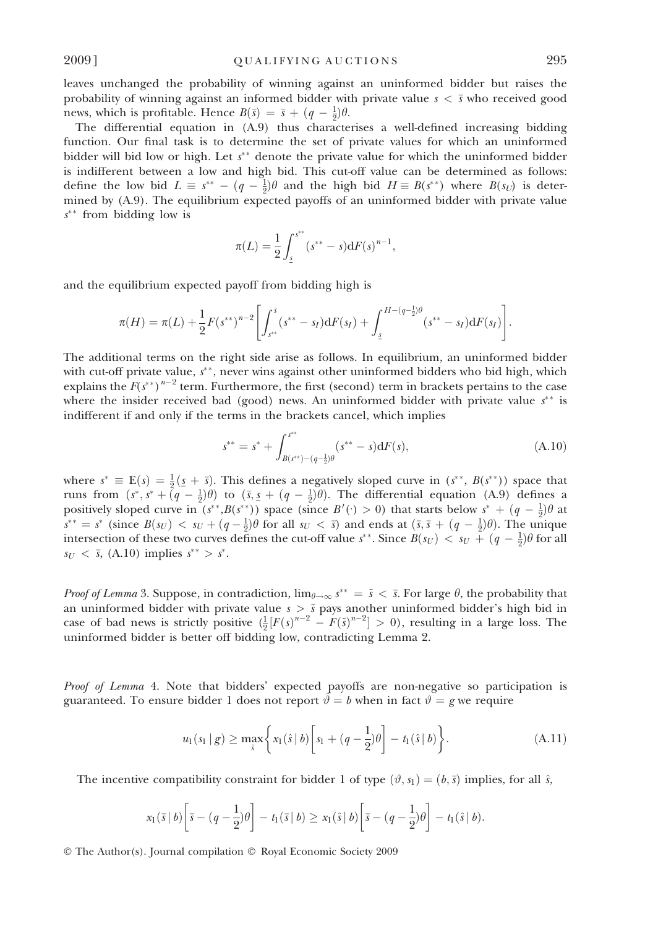leaves unchanged the probability of winning against an uninformed bidder but raises the probability of winning against an informed bidder with private value  $s < \bar{s}$  who received good news, which is profitable. Hence  $B(\bar{s}) = \bar{s} + (q - \frac{1}{2})\theta$ .

The differential equation in (A.9) thus characterises a well-defined increasing bidding function. Our final task is to determine the set of private values for which an uninformed bidder will bid low or high. Let s<sup>\*\*</sup> denote the private value for which the uninformed bidder is indifferent between a low and high bid. This cut-off value can be determined as follows: define the low bid  $L \equiv s^{**} - (q - \frac{1}{2})\theta$  and the high bid  $H \equiv B(s^{**})$  where  $B(s_U)$  is determined by (A.9). The equilibrium expected payoffs of an uninformed bidder with private value s from bidding low is

$$
\pi(L) = \frac{1}{2} \int_{\underline{s}}^{s^{**}} (s^{**} - s) dF(s)^{n-1},
$$

and the equilibrium expected payoff from bidding high is

$$
\pi(H) = \pi(L) + \frac{1}{2}F(s^{**})^{n-2}\left[\int_{s^{**}}^{\bar{s}}(s^{**}-s_I)dF(s_I) + \int_{\underline{s}}^{H-(q-\frac{1}{2})\theta}(s^{**}-s_I)dF(s_I)\right].
$$

The additional terms on the right side arise as follows. In equilibrium, an uninformed bidder with cut-off private value,  $s^{**}$ , never wins against other uninformed bidders who bid high, which explains the  $F(s^{**})^{n-2}$  term. Furthermore, the first (second) term in brackets pertains to the case where the insider received bad (good) news. An uninformed bidder with private value  $s^{**}$  is indifferent if and only if the terms in the brackets cancel, which implies

$$
s^{**} = s^* + \int_{B(s^{**}) - (q - \frac{1}{2})\theta}^{s^{**}} (s^{**} - s) dF(s), \tag{A.10}
$$

where  $s^* \equiv E(s) = \frac{1}{2}(\underline{s} + \overline{s})$ . This defines a negatively sloped curve in  $(s^{**}, B(s^{**}))$  space that runs from  $(s^*, s^* + (q - \frac{1}{2})\theta)$  to  $(\bar{s}, \underline{s} + (q - \frac{1}{2})\theta)$ . The differential equation (A.9) defines a positively sloped curve in  $(s^{**}, B(s^{**}))$  space (since  $B'(\cdot) > 0$ ) that starts below  $s^* + (q - \frac{1}{2})\theta$  at  $s^{**} = s^*$  (since  $B(s_U) < s_U + (q - \frac{1}{2})\theta$  for all  $s_U < \overline{s}$ ) and ends at  $(\overline{s}, \overline{s} + (q - \frac{1}{2})\theta)$ . The unique intersection of these two curves defines the cut-off value  $s^*$ . Since  $B(s_U) < s_U + (q - \frac{1}{2})\theta$  for all  $s_U < \bar{s}, (A.10)$  implies  $s^{**} > s^*$ .

*Proof of Lemma* 3. Suppose, in contradiction,  $\lim_{\theta\to\infty} s^{**} = \tilde{s} < \bar{s}$ . For large  $\theta$ , the probability that an uninformed bidder with private value  $s > \tilde{s}$  pays another uninformed bidder's high bid in case of bad news is strictly positive  $(\frac{1}{2}[F(s)^{n-2} - F(\tilde{s})^{n-2}] > 0)$ , resulting in a large loss. The uninformed bidder is better off bidding low, contradicting Lemma 2.

Proof of Lemma 4. Note that bidders' expected payoffs are non-negative so participation is guaranteed. To ensure bidder 1 does not report  $\vartheta = b$  when in fact  $\vartheta = g$  we require

$$
u_1(s_1 | g) \ge \max_{\hat{s}} \left\{ x_1(\hat{s} | b) \left[ s_1 + (q - \frac{1}{2}) \theta \right] - t_1(\hat{s} | b) \right\}.
$$
 (A.11)

The incentive compatibility constraint for bidder 1 of type  $(\vartheta, s_1) = (b, \bar{s})$  implies, for all  $\hat{s}$ ,

$$
x_1(\bar{s} | b) \left[ \bar{s} - (q - \frac{1}{2}) \theta \right] - t_1(\bar{s} | b) \ge x_1(\hat{s} | b) \left[ \bar{s} - (q - \frac{1}{2}) \theta \right] - t_1(\hat{s} | b).
$$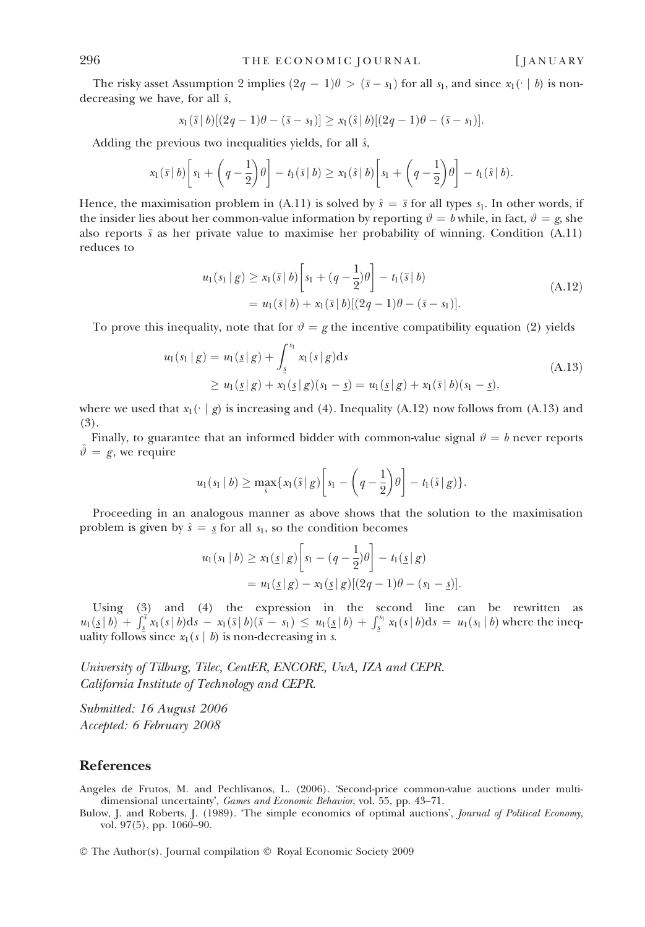The risky asset Assumption 2 implies  $(2q - 1)\theta > (\bar{s} - s_1)$  for all  $s_1$ , and since  $x_1(\cdot | b)$  is nondecreasing we have, for all  $\hat{s}$ ,

$$
x_1(\bar{s} | b) [(2q-1)\theta - (\bar{s} - s_1)] \ge x_1(\hat{s} | b) [(2q-1)\theta - (\bar{s} - s_1)].
$$

Adding the previous two inequalities yields, for all  $\hat{s}$ ,

$$
x_1(\overline{s} | b) \left[ s_1 + \left( q - \frac{1}{2} \right) \theta \right] - t_1(\overline{s} | b) \geq x_1(\hat{s} | b) \left[ s_1 + \left( q - \frac{1}{2} \right) \theta \right] - t_1(\hat{s} | b).
$$

Hence, the maximisation problem in (A.11) is solved by  $\hat{s} = \bar{s}$  for all types  $s_1$ . In other words, if the insider lies about her common-value information by reporting  $\vartheta = b$  while, in fact,  $\vartheta = g$ , she also reports  $\bar{s}$  as her private value to maximise her probability of winning. Condition (A.11) reduces to

$$
u_1(s_1 | g) \ge x_1(\bar{s} | b) \left[ s_1 + (q - \frac{1}{2})\theta \right] - t_1(\bar{s} | b) = u_1(\bar{s} | b) + x_1(\bar{s} | b) [(2q - 1)\theta - (\bar{s} - s_1)].
$$
\n(A.12)

To prove this inequality, note that for  $\vartheta = g$  the incentive compatibility equation (2) yields

$$
u_1(s_1 | g) = u_1(\underline{s} | g) + \int_{\underline{s}}^{s_1} x_1(s | g) ds
$$
  
\n
$$
\geq u_1(\underline{s} | g) + x_1(\underline{s} | g)(s_1 - \underline{s}) = u_1(\underline{s} | g) + x_1(\overline{s} | b)(s_1 - \underline{s}),
$$
\n(A.13)

where we used that  $x_1(\cdot | g)$  is increasing and (4). Inequality (A.12) now follows from (A.13) and (3).

Finally, to guarantee that an informed bidder with common-value signal  $\vartheta = b$  never reports  $\hat{\vartheta} = g$ , we require

$$
u_1(s_1 | b) \ge \max_{\hat{s}} \{x_1(\hat{s} | g) \bigg[ s_1 - \bigg( q - \frac{1}{2} \bigg) \theta \bigg] - t_1(\hat{s} | g) \}.
$$

Proceeding in an analogous manner as above shows that the solution to the maximisation problem is given by  $\hat{s} = s$  for all  $s_1$ , so the condition becomes

$$
u_1(s_1 | b) \ge x_1(\underline{s} | g) \left[ s_1 - (q - \frac{1}{2})\theta \right] - t_1(\underline{s} | g)
$$
  
= 
$$
u_1(\underline{s} | g) - x_1(\underline{s} | g) [ (2q - 1)\theta - (s_1 - \underline{s})].
$$

Using (3) and (4) the expression in the second line can be rewritten as  $u_1(\underline{s}|b) + \int_{\underline{s}}^{5y} x_1(s|b) ds - x_1(\overline{s}|b)(\overline{s} - s_1) \le u_1(\underline{s}|b) + \int_{\underline{s}}^{5y} x_1(s|b) ds = u_1(s_1|b)$  where the inequality follows since  $x_1(s \mid b)$  is non-decreasing in s.

University of Tilburg, Tilec, CentER, ENCORE, UvA, IZA and CEPR. California Institute of Technology and CEPR.

Submitted: 16 August 2006 Accepted: 6 February 2008

## References

Angeles de Frutos, M. and Pechlivanos, L. (2006). 'Second-price common-value auctions under multidimensional uncertainty', Games and Economic Behavior, vol. 55, pp. 43-71.

Bulow, J. and Roberts, J. (1989). 'The simple economics of optimal auctions', *Journal of Political Economy*, vol. 97(5), pp. 1060–90.